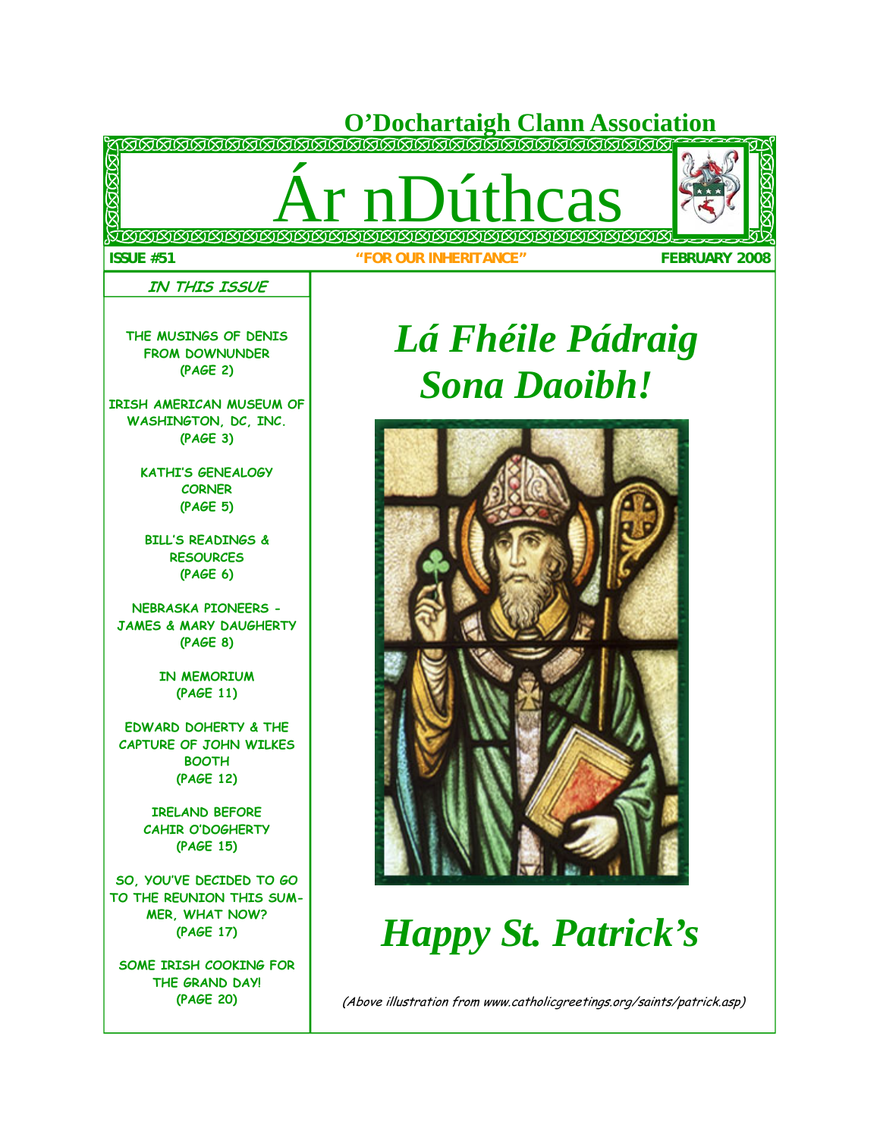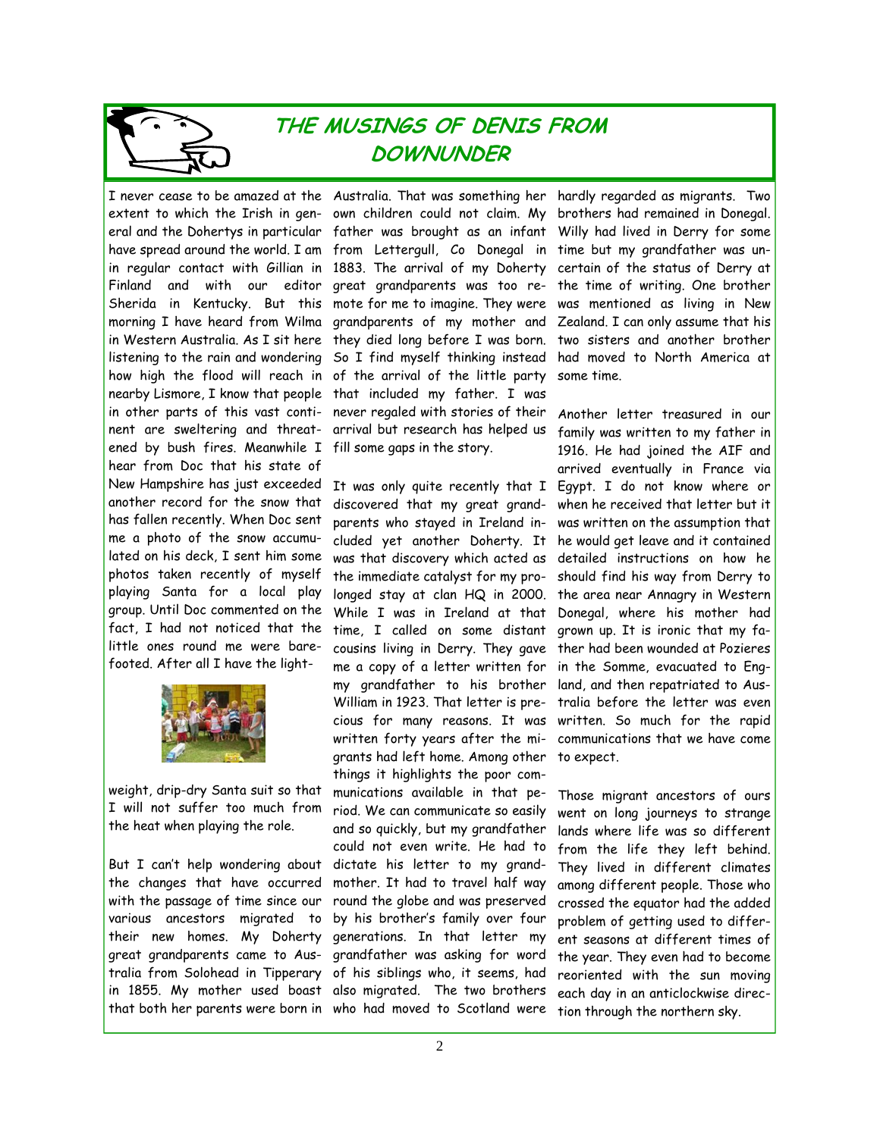

# **THE MUSINGS OF DENIS FROM DOWNUNDER**

ened by bush fires. Meanwhile I fill some gaps in the story. hear from Doc that his state of New Hampshire has just exceeded another record for the snow that has fallen recently. When Doc sent me a photo of the snow accumulated on his deck, I sent him some photos taken recently of myself playing Santa for a local play group. Until Doc commented on the fact, I had not noticed that the little ones round me were barefooted. After all I have the light-



weight, drip-dry Santa suit so that I will not suffer too much from the heat when playing the role.

But I can't help wondering about the changes that have occurred with the passage of time since our various ancestors migrated to great grandparents came to Aus-

I never cease to be amazed at the Australia. That was something her hardly regarded as migrants. Two extent to which the Irish in gen-own children could not claim. My brothers had remained in Donegal. eral and the Dohertys in particular 'father' was brought as an infant Willy had lived in Derry for some have spread around the world. I am from Lettergull, Co Donegal in time but my grandfather was unin regular contact with Gillian in 1883. The arrival of my Doherty certain of the status of Derry at Finland and with our editor great grandparents was too re-the time of writing. One brother Sherida in Kentucky. But this mote for me to imagine. They were was mentioned as living in New morning I have heard from Wilma grandparents of my mother and Zealand. I can only assume that his in Western Australia. As I sit here they died long before I was born. two sisters and another brother listening to the rain and wondering So I find myself thinking instead had moved to North America at how high the flood will reach in of the arrival of the little party some time. nearby Lismore, I know that people that included my father. I was in other parts of this vast conti- never regaled with stories of their  $\,$  Another letter treasured in our nent are sweltering and threat- arrival but research has helped us family was written to my father in

their new homes. My Doherty generations. In that letter my tralia from Solohead in Tipperary of his siblings who, it seems, had in 1855. My mother used boast also migrated. The two brothers that both her parents were born in who had moved to Scotland were It was only quite recently that I Egypt. I do not know where or discovered that my great grand-when he received that letter but it parents who stayed in Ireland in-was written on the assumption that cluded yet another Doherty. It he would get leave and it contained was that discovery which acted as detailed instructions on how he the immediate catalyst for my pro-should find his way from Derry to longed stay at clan HQ in 2000. the area near Annagry in Western While I was in Ireland at that Donegal, where his mother had time, I called on some distant grown up. It is ironic that my facousins living in Derry. They gave ther had been wounded at Pozieres me a copy of a letter written for in the Somme, evacuated to Engmy grandfather to his brother land, and then repatriated to Aus-William in 1923. That letter is pre-tralia before the letter was even cious for many reasons. It was written. So much for the rapid written forty years after the mi-communications that we have come grants had left home. Among other things it highlights the poor communications available in that period. We can communicate so easily and so quickly, but my grandfather could not even write. He had to dictate his letter to my grandmother. It had to travel half way round the globe and was preserved by his brother's family over four grandfather was asking for word

1916. He had joined the AIF and arrived eventually in France via to expect.

Those migrant ancestors of ours went on long journeys to strange lands where life was so different from the life they left behind. They lived in different climates among different people. Those who crossed the equator had the added problem of getting used to different seasons at different times of the year. They even had to become reoriented with the sun moving each day in an anticlockwise direction through the northern sky.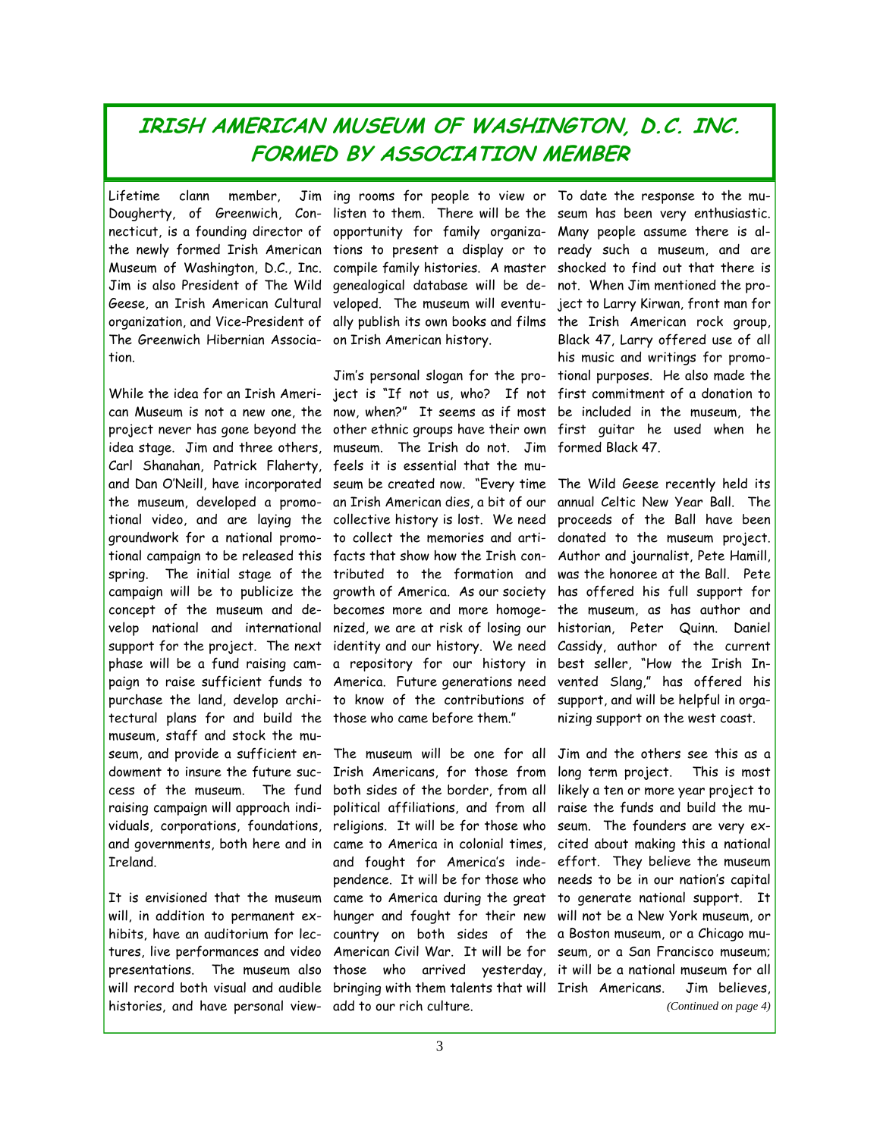# **IRISH AMERICAN MUSEUM OF WASHINGTON, D.C. INC. FORMED BY ASSOCIATION MEMBER**

Lifetime clann member, The Greenwich Hibernian Associa-on Irish American history. tion.

Carl Shanahan, Patrick Flaherty, feels it is essential that the mutectural plans for and build the those who came before them." museum, staff and stock the mu-Ireland.

histories, and have personal view-add to our rich culture.

Dougherty, of Greenwich, Con-listen to them. There will be the seum has been very enthusiastic. necticut, is a founding director of opportunity for family organiza-Many people assume there is althe newly formed Irish American tions to present a display or to ready such a museum, and are Museum of Washington, D.C., Inc. compile family histories. A master shocked to find out that there is Jim is also President of The Wild genealogical database will be de-not. When Jim mentioned the pro-Geese, an Irish American Cultural veloped. The museum will eventu-ject to Larry Kirwan, front man for organization, and Vice-President of ally publish its own books and films the Irish American rock group, ing rooms for people to view or To date the response to the mu-

While the idea for an Irish Ameri-ject is "If not us, who? If not first commitment of a donation to can Museum is not a new one, the now, when?" It seems as if most be included in the museum, the project never has gone beyond the other ethnic groups have their own first guitar he used when he idea stage. Jim and three others, museum. The Irish do not. Jim formed Black 47. and Dan O'Neill, have incorporated seum be created now. "Every time The Wild Geese recently held its the museum, developed a promo-an Irish American dies, a bit of our annual Celtic New Year Ball. The tional video, and are laying the collective history is lost. We need proceeds of the Ball have been groundwork for a national promo-to collect the memories and arti-donated to the museum project. tional campaign to be released this facts that show how the Irish con-Author and journalist, Pete Hamill, spring. The initial stage of the tributed to the formation and was the honoree at the Ball. Pete campaign will be to publicize the growth of America. As our society has offered his full support for concept of the museum and de-becomes more and more homoge-the museum, as has author and velop national and international nized, we are at risk of losing our historian, Peter Quinn. Daniel support for the project. The next identity and our history. We need Cassidy, author of the current phase will be a fund raising cam-a repository for our history in best seller, "How the Irish Inpaign to raise sufficient funds to America. Future generations need vented Slang," has offered his purchase the land, develop archi-to know of the contributions of support, and will be helpful in orga-Jim's personal slogan for the pro-tional purposes. He also made the

seum, and provide a sufficient en-The museum will be one for all Jim and the others see this as a dowment to insure the future suc-Irish Americans, for those from long term project. This is most cess of the museum. The fund both sides of the border, from all likely a ten or more year project to raising campaign will approach indi-political affiliations, and from all raise the funds and build the muviduals, corporations, foundations, religions. It will be for those who seum. The founders are very exand governments, both here and in came to America in colonial times, cited about making this a national It is envisioned that the museum came to America during the great to generate national support. It will, in addition to permanent ex-hunger and fought for their new will not be a New York museum, or hibits, have an auditorium for lec-country on both sides of the a Boston museum, or a Chicago mutures, live performances and video American Civil War. It will be for seum, or a San Francisco museum; presentations. The museum also those who arrived yesterday, it will be a national museum for all will record both visual and audible bringing with them talents that will Irish Americans. Jim believes, and fought for America's inde-effort. They believe the museum pendence. It will be for those who needs to be in our nation's capital

Black 47, Larry offered use of all his music and writings for promo-

nizing support on the west coast.

*(Continued on page 4)*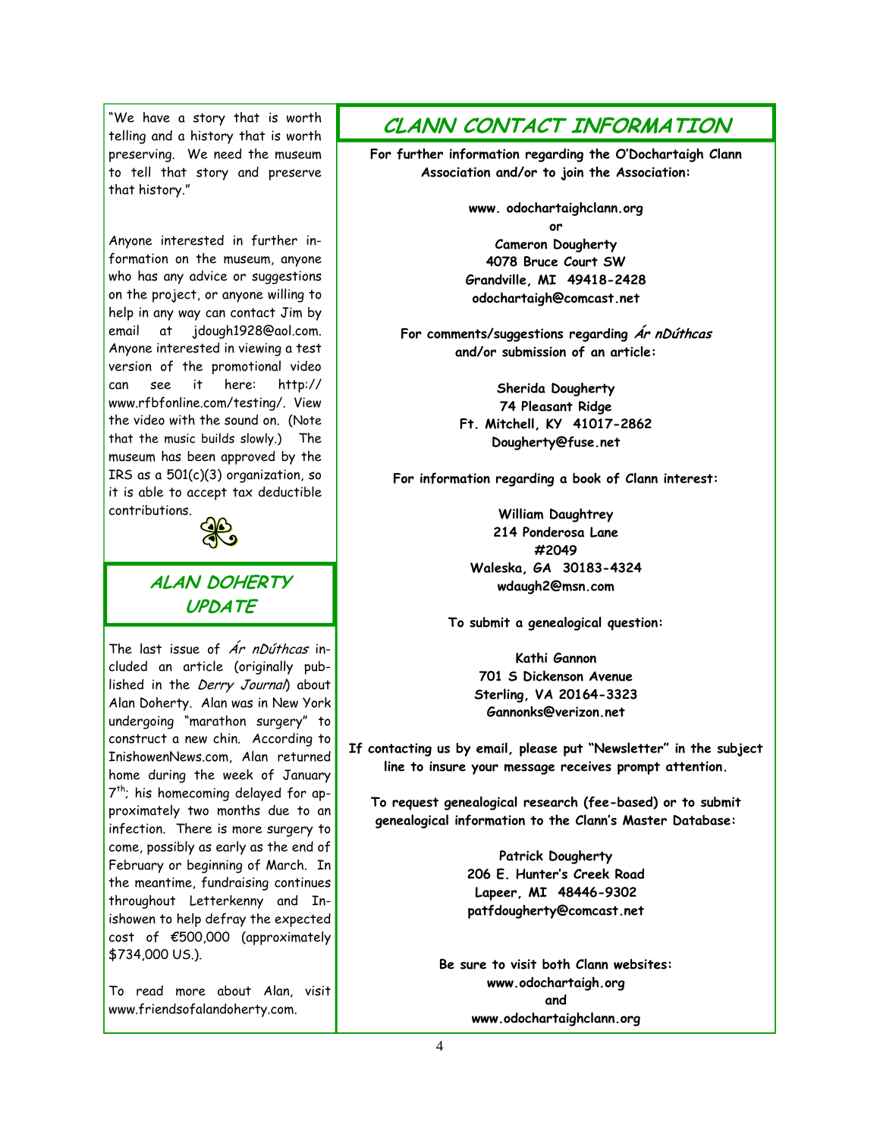"We have a story that is worth telling and a history that is worth preserving. We need the museum to tell that story and preserve that history."

Anyone interested in further information on the museum, anyone who has any advice or suggestions on the project, or anyone willing to help in any way can contact Jim by email at jdough1928@aol.com. Anyone interested in viewing a test version of the promotional video can see it here: http:// www.rfbfonline.com/testing/. View the video with the sound on. (Note that the music builds slowly.) The museum has been approved by the IRS as a 501(c)(3) organization, so it is able to accept tax deductible contributions.



**ALAN DOHERTY UPDATE** 

The last issue of *Ár nDúthcas* included an article (originally published in the Derry Journal) about Alan Doherty. Alan was in New York undergoing "marathon surgery" to construct a new chin. According to InishowenNews.com, Alan returned home during the week of January 7th; his homecoming delayed for approximately two months due to an infection. There is more surgery to come, possibly as early as the end of February or beginning of March. In the meantime, fundraising continues throughout Letterkenny and Inishowen to help defray the expected cost of €500,000 (approximately \$734,000 US.).

To read more about Alan, visit www.friendsofalandoherty.com.

## **CLANN CONTACT INFORMATION**

**For further information regarding the O'Dochartaigh Clann Association and/or to join the Association:** 

> **www. odochartaighclann.org or Cameron Dougherty 4078 Bruce Court SW Grandville, MI 49418-2428 odochartaigh@comcast.net**

**For comments/suggestions regarding Ár nDúthcas and/or submission of an article:** 

> **Sherida Dougherty 74 Pleasant Ridge Ft. Mitchell, KY 41017-2862 Dougherty@fuse.net**

**For information regarding a book of Clann interest:** 

**William Daughtrey 214 Ponderosa Lane #2049 Waleska, GA 30183-4324 wdaugh2@msn.com** 

**To submit a genealogical question:** 

**Kathi Gannon 701 S Dickenson Avenue Sterling, VA 20164-3323 Gannonks@verizon.net** 

**If contacting us by email, please put "Newsletter" in the subject line to insure your message receives prompt attention.** 

**To request genealogical research (fee-based) or to submit genealogical information to the Clann's Master Database:** 

> **Patrick Dougherty 206 E. Hunter's Creek Road Lapeer, MI 48446-9302 patfdougherty@comcast.net**

**Be sure to visit both Clann websites: www.odochartaigh.org and www.odochartaighclann.org**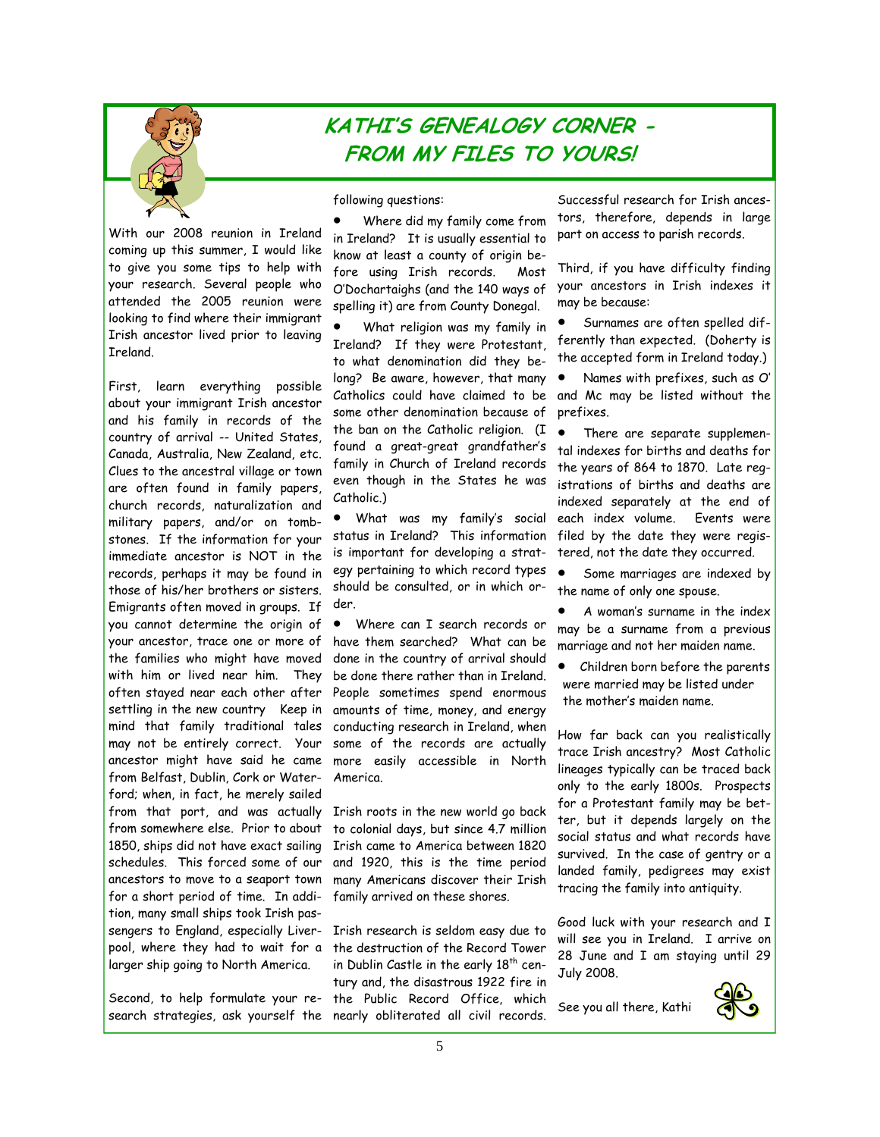

# **KATHI'S GENEALOGY CORNER - FROM MY FILES TO YOURS!**

With our 2008 reunion in Ireland coming up this summer, I would like to give you some tips to help with your research. Several people who attended the 2005 reunion were looking to find where their immigrant Irish ancestor lived prior to leaving Ireland.

First, learn everything possible about your immigrant Irish ancestor and his family in records of the country of arrival -- United States, Canada, Australia, New Zealand, etc. Clues to the ancestral village or town are often found in family papers, church records, naturalization and military papers, and/or on tombstones. If the information for your immediate ancestor is NOT in the records, perhaps it may be found in those of his/her brothers or sisters. Emigrants often moved in groups. If you cannot determine the origin of your ancestor, trace one or more of the families who might have moved with him or lived near him. They often stayed near each other after settling in the new country Keep in mind that family traditional tales may not be entirely correct. Your ancestor might have said he came from Belfast, Dublin, Cork or Waterford; when, in fact, he merely sailed from that port, and was actually from somewhere else. Prior to about 1850, ships did not have exact sailing schedules. This forced some of our ancestors to move to a seaport town for a short period of time. In addition, many small ships took Irish passengers to England, especially Liverpool, where they had to wait for a larger ship going to North America.

Second, to help formulate your re-

following questions:

• Where did my family come from in Ireland? It is usually essential to know at least a county of origin before using Irish records. Most O'Dochartaighs (and the 140 ways of spelling it) are from County Donegal.

• What religion was my family in Ireland? If they were Protestant, to what denomination did they belong? Be aware, however, that many Catholics could have claimed to be and Mc may be listed without the some other denomination because of the ban on the Catholic religion. (I found a great-great grandfather's family in Church of Ireland records even though in the States he was Catholic.)

• What was my family's social status in Ireland? This information is important for developing a strategy pertaining to which record types should be consulted, or in which order.

Where can I search records or have them searched? What can be done in the country of arrival should be done there rather than in Ireland. People sometimes spend enormous amounts of time, money, and energy conducting research in Ireland, when some of the records are actually more easily accessible in North America.

Irish roots in the new world go back to colonial days, but since 4.7 million Irish came to America between 1820 and 1920, this is the time period many Americans discover their Irish family arrived on these shores.

search strategies, ask yourself the nearly obliterated all civil records. Irish research is seldom easy due to the destruction of the Record Tower in Dublin Castle in the early 18<sup>th</sup> century and, the disastrous 1922 fire in the Public Record Office, which

Successful research for Irish ancestors, therefore, depends in large part on access to parish records.

Third, if you have difficulty finding your ancestors in Irish indexes it may be because:

• Surnames are often spelled differently than expected. (Doherty is the accepted form in Ireland today.)

• Names with prefixes, such as O' prefixes.

• There are separate supplemental indexes for births and deaths for the years of 864 to 1870. Late registrations of births and deaths are indexed separately at the end of each index volume. Events were filed by the date they were registered, not the date they occurred.

• Some marriages are indexed by the name of only one spouse.

• A woman's surname in the index may be a surname from a previous marriage and not her maiden name.

Children born before the parents were married may be listed under the mother's maiden name.

How far back can you realistically trace Irish ancestry? Most Catholic lineages typically can be traced back only to the early 1800s. Prospects for a Protestant family may be better, but it depends largely on the social status and what records have survived. In the case of gentry or a landed family, pedigrees may exist tracing the family into antiquity.

Good luck with your research and I will see you in Ireland. I arrive on 28 June and I am staying until 29 July 2008.

See you all there, Kathi

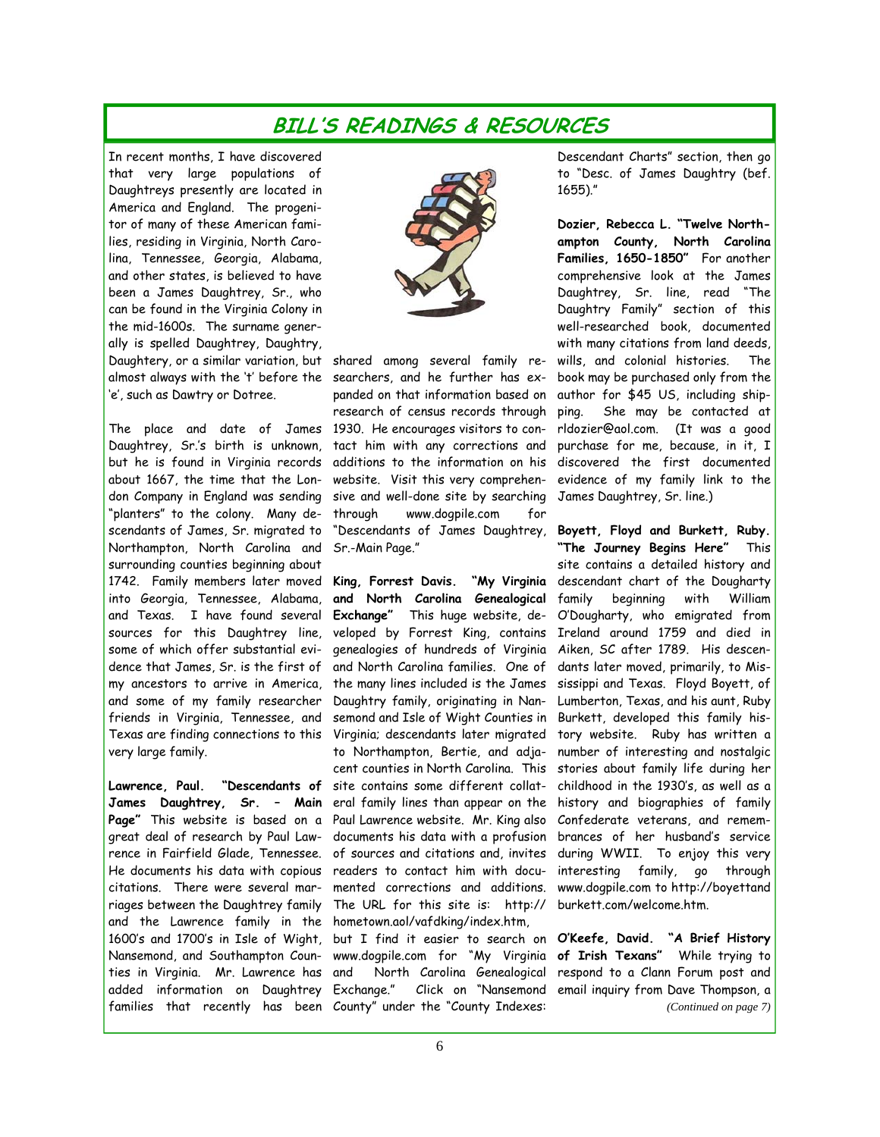# **BILL'S READINGS & RESOURCES**

In recent months, I have discovered that very large populations of Daughtreys presently are located in America and England. The progenitor of many of these American families, residing in Virginia, North Carolina, Tennessee, Georgia, Alabama, and other states, is believed to have been a James Daughtrey, Sr., who can be found in the Virginia Colony in the mid-1600s. The surname generally is spelled Daughtrey, Daughtry, Daughtery, or a similar variation, but shared among several family realmost always with the 't' before the searchers, and he further has ex-'e', such as Dawtry or Dotree.

The place and date of James 1930. He encourages visitors to con-Daughtrey, Sr.'s birth is unknown, tact him with any corrections and but he is found in Virginia records additions to the information on his about 1667, the time that the Lon-website. Visit this very comprehendon Company in England was sending sive and well-done site by searching "planters" to the colony. Many de- through Northampton, North Carolina and Sr.-Main Page." surrounding counties beginning about very large family.

and the Lawrence family in the hometown.aol/vafdking/index.htm, ties in Virginia. Mr. Lawrence has families that recently has been County" under the "County Indexes:



panded on that information based on author for \$45 US, including shipresearch of census records through www.dogpile.com for

1742. Family members later moved **King, Forrest Davis. "My Virginia**  descendant chart of the Dougharty into Georgia, Tennessee, Alabama, **and North Carolina Genealogical**  family beginning with William and Texas. I have found several **Exchange"** This huge website, de-O'Dougharty, who emigrated from sources for this Daughtrey line, veloped by Forrest King, contains Ireland around 1759 and died in some of which offer substantial evi- genealogies of hundreds of Virginia Aiken, SC after 1789. His descendence that James, Sr. is the first of and North Carolina families. One of dants later moved, primarily, to Mismy ancestors to arrive in America, the many lines included is the James sissippi and Texas. Floyd Boyett, of and some of my family researcher Daughtry family, originating in Nan-Lumberton, Texas, and his aunt, Ruby friends in Virginia, Tennessee, and semondandIsle of Wight Counties in Burkett, developed this family his-Texas are finding connections to this Virginia; descendants later migrated tory website. Ruby has written a **Lawrence, Paul. "Descendants of** site contains some different collat- childhood in the 1930's, as well as a **James Daughtrey, Sr. – Main**  eral family lines than appear on the history and biographies of family **Page"** This website is based on a Paul Lawrence website. Mr. King also Confederate veterans, and rememgreat deal of research by Paul Law-documents his data with a profusion brances of her husband's service rence in Fairfield Glade, Tennessee. of sources and citations and, invites during WWII. To enjoy this very He documents his data with copious readers to contact him with docu-interesting family, go through citations. There were several mar-mented corrections and additions. www.dogpile.com to http://boyettand riages between the Daughtrey family The URL for this site is: http:// burkett.com/welcome.htm. to Northampton, Bertie, and adja-number of interesting and nostalgic cent counties in North Carolina. This stories about family life during her

1600's and 1700's in Isle of Wight, but I find it easier to search on **O'Keefe, David. "A Brief History**  Nansemond, and Southampton Coun-www.dogpile.com for "My Virginia **of Irish Texans"** While trying to added information on Daughtrey Exchange." Click on "Nansemond email inquiry from Dave Thompson, a and North Carolina Genealogical respond to a Clann Forum post and

Descendant Charts" section, then go to "Desc. of James Daughtry (bef. 1655)."

**Dozier, Rebecca L. "Twelve Northampton County, North Carolina Families, 1650-1850"** For another comprehensive look at the James Daughtrey, Sr. line, read "The Daughtry Family" section of this well-researched book, documented with many citations from land deeds, wills, and colonial histories. The book may be purchased only from the ping. She may be contacted at rldozier@aol.com. (It was a good purchase for me, because, in it, I discovered the first documented evidence of my family link to the James Daughtrey, Sr. line.)

scendants of James, Sr. migrated to "Descendants of James Daughtrey, **Boyett, Floyd and Burkett, Ruby. "The Journey Begins Here"** This site contains a detailed history and

*(Continued on page 7)*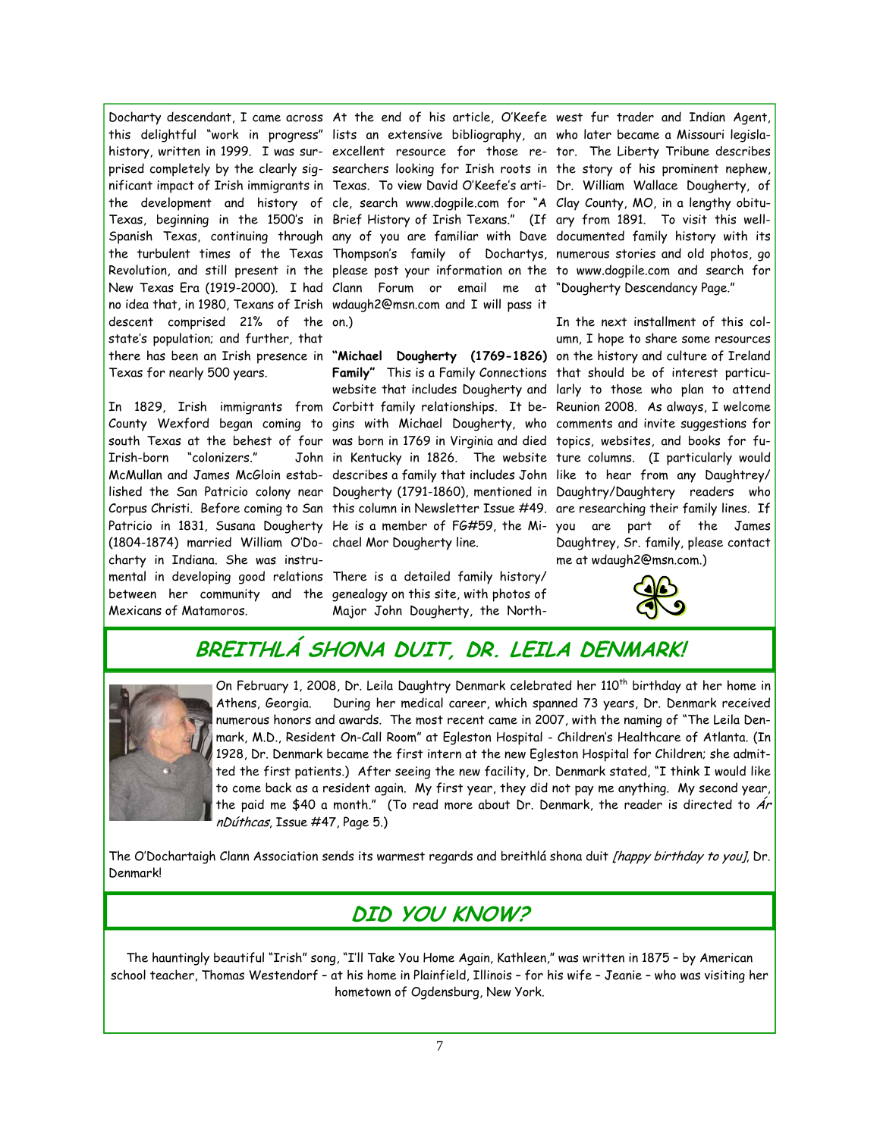descent comprised 21% of the on.) state's population; and further, that Texas for nearly 500 years.

Irish-born "colonizers." (1804-1874) married William O'Do-chael Mor Dougherty line. charty in Indiana. She was instru-Mexicans of Matamoros.

Docharty descendant, I came across At the end of his article, O'Keefe west fur trader and Indian Agent, this delightful "work in progress" lists an extensive bibliography, an who later became a Missouri legislahistory, written in 1999. I was sur-excellent resource for those re-tor. The Liberty Tribune describes prised completely by the clearly sig- searchers looking for Irish roots in the story of his prominent nephew, nificant impact of Irish immigrants in Texas. To view David O'Keefe's arti-Dr. William Wallace Dougherty, of the development and history of cle, search www.dogpile.com for "A Clay County, MO, in a lengthy obitu-Texas, beginning in the 1500's in Brief History of Irish Texans." (If ary from 1891. To visit this well-Spanish Texas, continuing through any of you are familiar with Dave documented family history with its the turbulent times of the Texas Thompson's family of Dochartys, numerous stories and old photos, go Revolution, and still present in the please post your information on the to www.dogpile.com and search for New Texas Era (1919-2000). I had Clann Forum or email me at "Dougherty Descendancy Page." no idea that, in 1980, Texans of Irish wdaugh2@msn.com and I will pass it

there has been an Irish presence in **"Michael Dougherty (1769-1826)**  on the history and culture of Ireland In 1829, Irish immigrants from Corbitt family relationships. It be-Reunion 2008. As always, I welcome County Wexford began coming to gins with Michael Dougherty, who comments and invite suggestions for south Texas at the behest of four was born in 1769 in Virginia and died topics, websites, and books for fu-McMullan and James McGloin estab-describes a family that includes John like to hear from any Daughtrey/ lished the San Patricio colony near Dougherty (1791-1860), mentioned in Daughtry/Daughtery readers who Corpus Christi. Before coming to San this column in Newsletter Issue #49. are researching their family lines. If Patricio in 1831, Susana Dougherty He is a member of FG#59, the Mi-you are part of the James **Family"** This is a Family Connections that should be of interest particuwebsite that includes Dougherty and larly to those who plan to attend in Kentucky in 1826. The website ture columns. (I particularly would

mental in developing good relations There is a detailed family history/ between her community and the genealogy on this site, with photos of Major John Dougherty, the North-

In the next installment of this column, I hope to share some resources Daughtrey, Sr. family, please contact me at wdaugh2@msn.com.)



# **BREITHLÁ SHONA DUIT, DR. LEILA DENMARK!**



On February 1, 2008, Dr. Leila Daughtry Denmark celebrated her 110<sup>th</sup> birthday at her home in Athens, Georgia. During her medical career, which spanned 73 years, Dr. Denmark received numerous honors and awards. The most recent came in 2007, with the naming of "The Leila Denmark, M.D., Resident On-Call Room" at Egleston Hospital - Children's Healthcare of Atlanta. (In 1928, Dr. Denmark became the first intern at the new Egleston Hospital for Children; she admitted the first patients.) After seeing the new facility, Dr. Denmark stated, "I think I would like to come back as a resident again. My first year, they did not pay me anything. My second year, the paid me \$40 a month." (To read more about Dr. Denmark, the reader is directed to  $\hat{Ar}$ nDúthcas, Issue #47, Page 5.)

The O'Dochartaigh Clann Association sends its warmest regards and breithlá shona duit *[happy birthday to you]*, Dr. Denmark!

# **DID YOU KNOW?**

The hauntingly beautiful "Irish" song, "I'll Take You Home Again, Kathleen," was written in 1875 – by American school teacher, Thomas Westendorf – at his home in Plainfield, Illinois – for his wife – Jeanie – who was visiting her hometown of Ogdensburg, New York.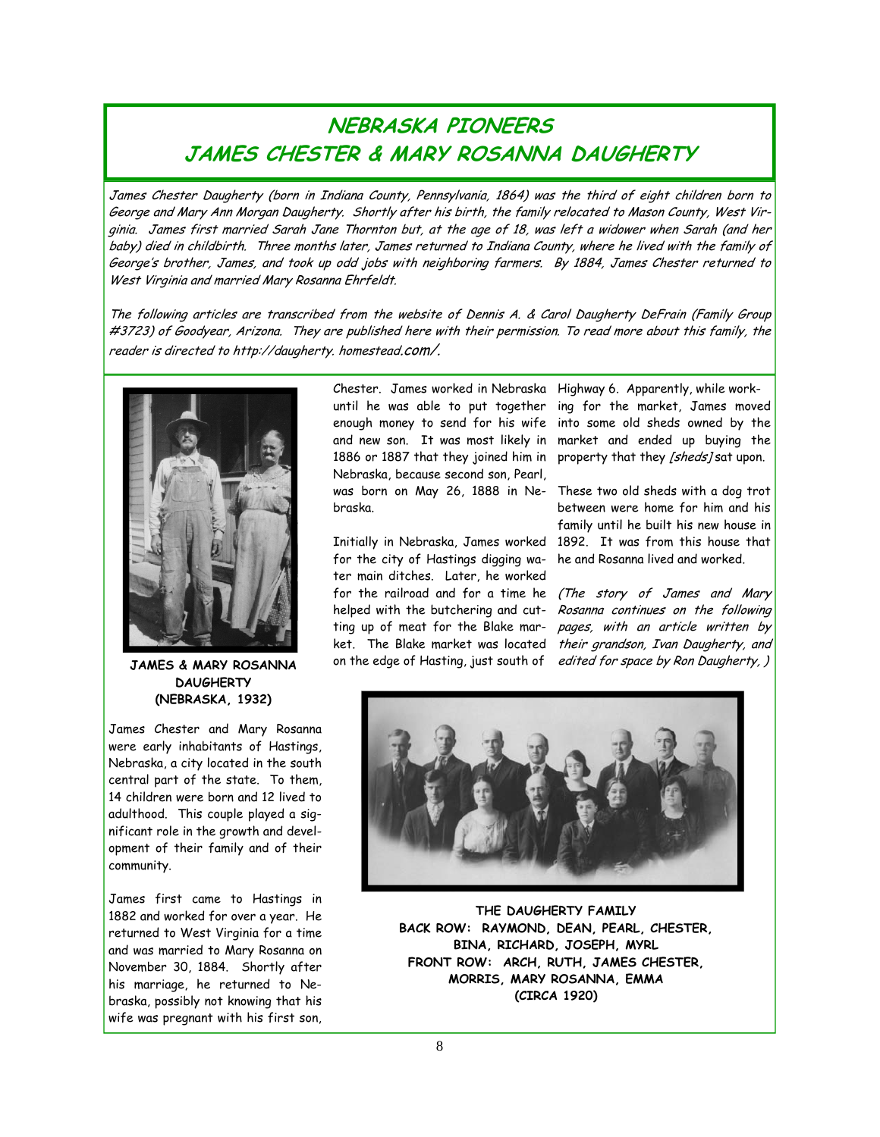# **NEBRASKA PIONEERS JAMES CHESTER & MARY ROSANNA DAUGHERTY**

James Chester Daugherty (born in Indiana County, Pennsylvania, 1864) was the third of eight children born to George and Mary Ann Morgan Daugherty. Shortly after his birth, the family relocated to Mason County, West Virginia. James first married Sarah Jane Thornton but, at the age of 18, was left a widower when Sarah (and her baby) died in childbirth. Three months later, James returned to Indiana County, where he lived with the family of George's brother, James, and took up odd jobs with neighboring farmers. By 1884, James Chester returned to West Virginia and married Mary Rosanna Ehrfeldt.

The following articles are transcribed from the website of Dennis A. & Carol Daugherty DeFrain (Family Group #3723) of Goodyear, Arizona. They are published here with their permission. To read more about this family, the reader is directed to http://daugherty. homestead.com/.



**JAMES & MARY ROSANNA DAUGHERTY (NEBRASKA, 1932)** 

James Chester and Mary Rosanna were early inhabitants of Hastings, Nebraska, a city located in the south central part of the state. To them, 14 children were born and 12 lived to adulthood. This couple played a significant role in the growth and development of their family and of their community.

James first came to Hastings in 1882 and worked for over a year. He returned to West Virginia for a time and was married to Mary Rosanna on November 30, 1884. Shortly after his marriage, he returned to Nebraska, possibly not knowing that his wife was pregnant with his first son,

Chester. James worked in Nebraska Highway 6. Apparently, while workuntil he was able to put together ing for the market, James moved enough money to send for his wife into some old sheds owned by the and new son. It was most likely in market and ended up buying the 1886 or 1887 that they joined him in property that they *[sheds]* sat upon. Nebraska, because second son, Pearl, was born on May 26, 1888 in Ne-These two old sheds with a dog trot braska.

for the city of Hastings digging wa-he and Rosanna lived and worked. ter main ditches. Later, he worked on the edge of Hasting, just south of *edited for space by Ron Daugherty, )* 

Initially in Nebraska, James worked 1892. It was from this house that between were home for him and his family until he built his new house in

for the railroad and for a time he *(The story of James and Mary* helped with the butchering and cut- *Rosanna continues on the following* ting up of meat for the Blake mar- *pages, with an article written by* ket. The Blake market was located *their grandson, Ivan Daugherty, and* 



**THE DAUGHERTY FAMILY BACK ROW: RAYMOND, DEAN, PEARL, CHESTER, BINA, RICHARD, JOSEPH, MYRL FRONT ROW: ARCH, RUTH, JAMES CHESTER, MORRIS, MARY ROSANNA, EMMA (CIRCA 1920)**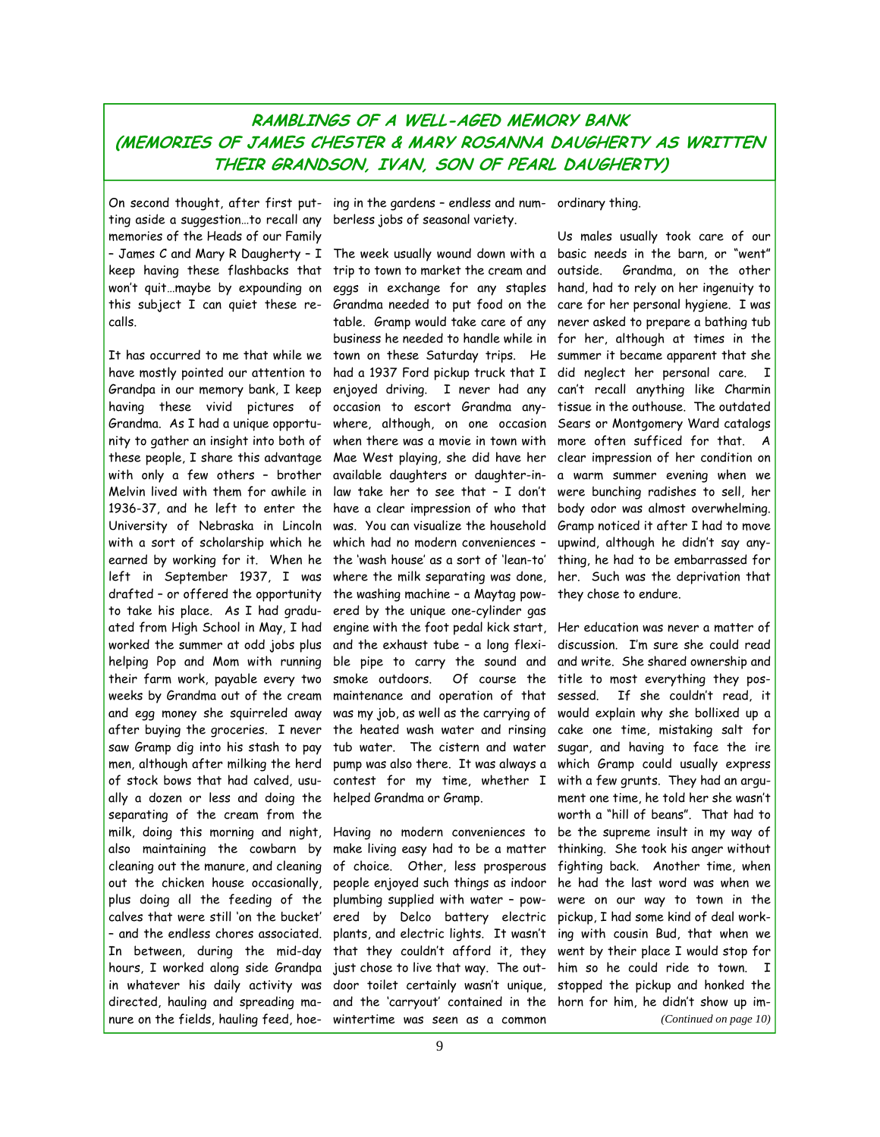### **RAMBLINGS OF A WELL-AGED MEMORY BANK (MEMORIES OF JAMES CHESTER & MARY ROSANNA DAUGHERTY AS WRITTEN THEIR GRANDSON, IVAN, SON OF PEARL DAUGHERTY)**

ting aside a suggestion…to recall any memories of the Heads of our Family won't quit…maybe by expounding on calls.

of stock bows that had calved, usually a dozen or less and doing the helped Grandma or Gramp. separating of the cream from the milk, doing this morning and night, Having no modern conveniences to be the supreme insult in my way of nure on the fields, hauling feed, hoe-wintertime was seen as a common

On second thought, after first put-ing in the gardens – endless and num-ordinary thing. berless jobs of seasonal variety.

– James C and Mary R Daugherty – I The week usually wound down with a basic needs in the barn, or "went" keep having these flashbacks that trip to town to market the cream and outside. Grandma, on the other this subject I can quiet these re-Grandma needed to put food on the care for her personal hygiene. I was It has occurred to me that while we town on these Saturday trips. He summer it became apparent that she have mostly pointed our attention to had a 1937 Ford pickup truck that I did neglect her personal care. I Grandpa in our memory bank, I keep enjoyed driving. I never had any can't recall anything like Charmin having these vivid pictures of occasion to escort Grandma any-tissue in the outhouse. The outdated Grandma. As I had a unique opportu-where, although, on one occasion Sears or Montgomery Ward catalogs nity to gather an insight into both of when there was a movie in town with more often sufficed for that. A these people, I share this advantage Mae West playing, she did have her clear impression of her condition on with only a few others – brother available daughters or daughter-in- a warm summer evening when we Melvin lived with them for awhile in law take her to see that - I don't were bunching radishes to sell, her 1936-37, and he left to enter the have a clear impression of who that body odor was almost overwhelming. University of Nebraska in Lincoln was. You can visualize the household Gramp noticed it after I had to move with a sort of scholarship which he which had no modern conveniences - upwind, although he didn't say anyearned by working for it. When he the 'wash house' as a sort of 'lean-to' thing, he had to be embarrassed for left in September 1937, I was where the milk separating was done, her. Such was the deprivation that drafted – or offered the opportunity the washing machine – a Maytag pow- they chose to endure. to take his place. As I had gradu-ered by the unique one-cylinder gas ated from High School in May, I had engine with the foot pedal kick start, Her education was never a matter of worked the summer at odd jobs plus and the exhaust tube – a long flexi-discussion. I'm sure she could read helping Pop and Mom with running ble pipe to carry the sound and and write. She shared ownership and their farm work, payable every two smoke outdoors. Of course the title to most everything they posweeks by Grandma out of the cream maintenance and operation of that sessed. If she couldn't read, it and egg money she squirreled away was my job, as well as the carrying of would explain why she bollixed up a after buying the groceries. I never the heated wash water and rinsing cake one time, mistaking salt for saw Gramp dig into his stash to pay tub water. The cistern and water sugar, and having to face the ire men, although after milking the herd pump was also there. It was always a which Gramp could usually express eggs in exchange for any staples hand, had to rely on her ingenuity to table. Gramp would take care of any never asked to prepare a bathing tub business he needed to handle while in for her, although at times in the contest for my time, whether I with a few grunts. They had an argu-

also maintaining the cowbarn by make living easy had to be a matter thinking. She took his anger without cleaning out the manure, and cleaning of choice. Other, less prosperous fighting back. Another time, when out the chicken house occasionally, people enjoyed such things as indoor he had the last word was when we plus doing all the feeding of the plumbing supplied with water – pow-were on our way to town in the calves that were still 'on the bucket' ered by Delco battery electric pickup, I had some kind of deal work-– and the endless chores associated. plants, and electric lights. It wasn't ing with cousin Bud, that when we In between, during the mid-day that they couldn't afford it, they went-by-their-place I would stop-forhours, I worked along side Grandpa just chose to live that way. The out- him so he could ride to town. I in whatever his daily activity was door toilet certainly wasn't unique, stopped the pickup and honked the directed, hauling and spreading ma-and the 'carryout' contained in the horn for him, he didn't show up im-

Us males usually took care of our

ment one time, he told her she wasn't worth a "hill of beans". That had to *(Continued on page 10)*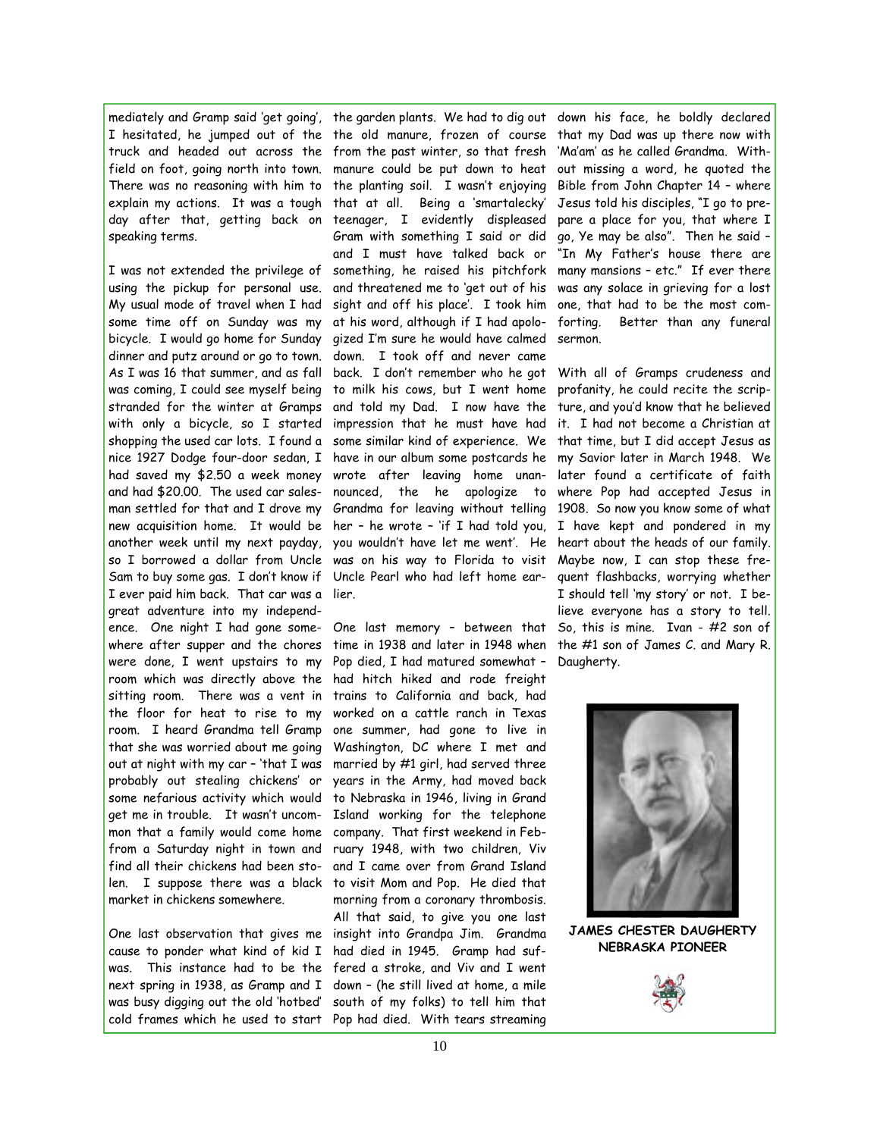speaking terms.

I ever paid him back. That car was a lier. great adventure into my independprobably out stealing chickens' or get me in trouble. It wasn't uncommon that a family would come home company. That first weekend in Febfrom a Saturday night in town and market in chickens somewhere.

cause to ponder what kind of kid I had died in 1945. Gramp had suf-

mediately and Gramp said 'get going', the garden plants. We had to dig out down his face, he boldly declared I hesitated, he jumped out of the the old manure, frozen of course that my Dad was up there now with truck and headed out across the from the past winter, so that fresh 'Ma'am' as he called Grandma. Withfield on foot, going north into town. manure could be put down to heat out missing a word, he quoted the There was no reasoning with him to the planting soil. I wasn't enjoying Bible from John Chapter 14 – where explain my actions. It was a tough that at all. Being a 'smartalecky' Jesus told his disciples,"I go to preday after that, getting back on teenager, I evidently displeased pare a place for you, that where I I was not extended the privilege of something, he raised his pitchfork many mansions – etc." If ever there using the pickup for personal use. and threatened me to 'get out of his was any solace in grieving for a lost My usual mode of travel when I had sight and off his place'. I took him one, that had to be the most comsome time off on Sunday was my at his word, although if I had apolo-forting. Better than any funeral bicycle. I would go home for Sunday gized I'm sure he would have calmed sermon. dinner and putz around or go to town. down. I took off and never came As I was 16 that summer, and as fall back. I don't remember who he got With all of Gramps crudeness and was coming, I could see myself being to milk his cows, but I went home profanity, he could recite the scripstranded for the winter at Gramps and told my Dad. I now have the ture, and you'd know that he believed with only a bicycle, so I started impression that he must have had it. I had not become a Christian at shopping the used car lots. I found a some similar kind of experience. We that time, but I did accept Jesus as nice 1927 Dodge four-door sedan, I have in our album some postcards he my Savior later in March 1948. We had saved my \$2.50 a week money wrote after leaving home unan-later found a certificate of faith and had \$20.00. The used car sales-nounced, the he apologize to where Pop had accepted Jesus in man settled for that and I drove my Grandma for leaving without telling 1908. So now you know some of what new acquisition home. It would be her – he wrote – 'if I had told you, I have kept and pondered in my another week until my next payday, you wouldn't have let me went'. He heart about the heads of our family. so I borrowed a dollar from Uncle was on his way to Florida to visit Maybe now, I can stop these fre-Sam to buy some gas. I don't know if Uncle Pearl who had left home ear-quent flashbacks, worrying whether Gram with something I said or did go, Ye may be also". Then he said – and I must have talked back or "In My Father's house there are

ence. One night I had gone some- One last memory – between that So, this is mine. Ivan – #2 son of where after supper and the chores time in 1938 and later in 1948 when the #1 son of James C. and Mary R. were done, I went upstairs to my Pop died, I had matured somewhat – room which was directly above the had hitch hiked and rode freight sitting room. There was a vent in trains to California and back, had the floor for heat to rise to my worked on a cattle ranch in Texas room. I heard Grandma tell Gramp one summer, had gone to live in that she was worried about me going Washington, DC where I met and out at night with my car – 'that I was married by #1 girl, had served three some nefarious activity which would to Nebraska in 1946, living in Grand find all their chickens had been sto-and I came over from Grand Island len. I suppose there was a black to visit Mom and Pop. He died that One last observation that gives me insight into Grandpa Jim. Grandma was. This instance had to be the fered a stroke, and Viv and I went next spring in 1938, as Gramp and I down – (he still lived at home, a mile was busy digging out the old 'hotbed' south of my folks) to tell him that cold frames which he used to start Pop had died. With tears streaming years in the Army, had moved back Island working for the telephone ruary 1948, with two children, Viv morning from a coronary thrombosis. All that said, to give you one last

I should tell 'my story' or not. I believe everyone has a story to tell. Daugherty.



**JAMES CHESTER DAUGHERTY NEBRASKA PIONEER** 

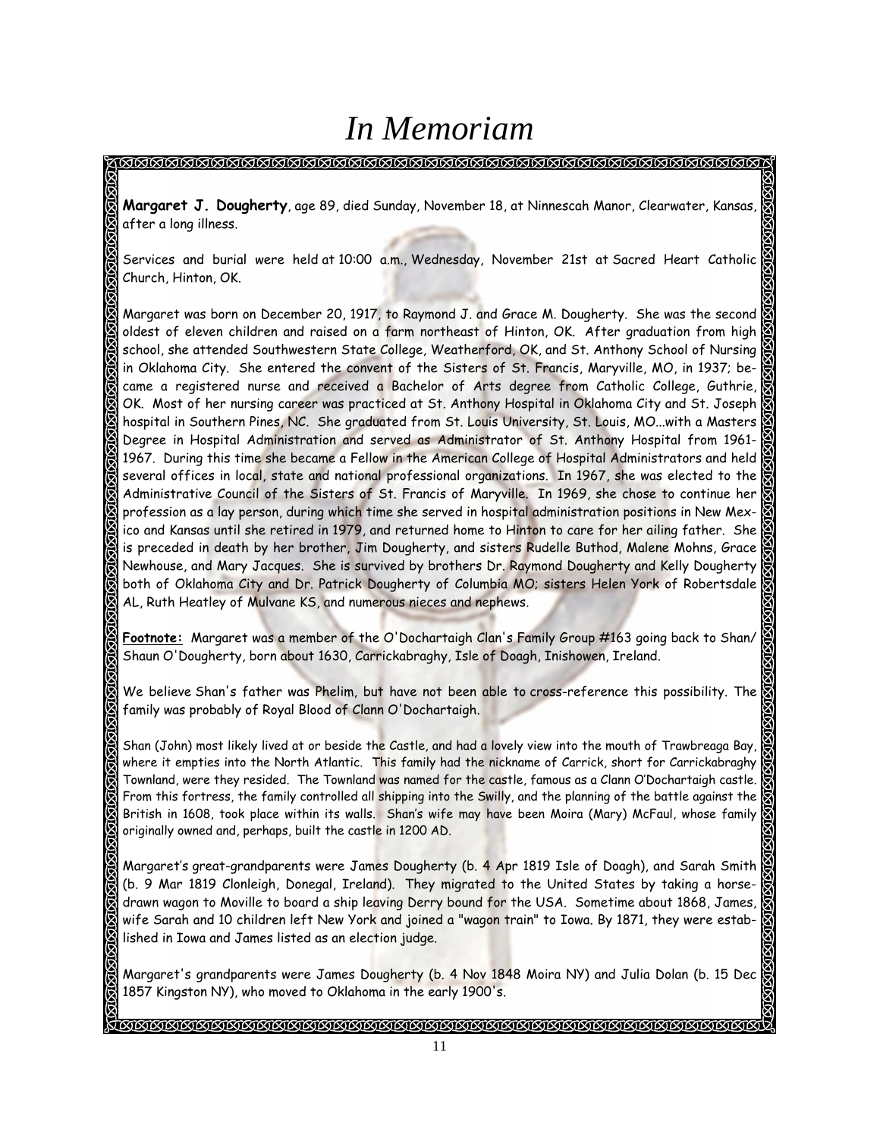# *In Memoriam*

**Margaret J. Dougherty**, age 89, died Sunday, November 18, at Ninnescah Manor, Clearwater, Kansas, after a long illness.

<u> ମମମମେମେମେମେମେମେମେମେମେମେମେମେମେମେ</u>

Services and burial were held at 10:00 a.m., Wednesday, November 21st at Sacred Heart Catholic Church, Hinton, OK.

Margaret was born on December 20, 1917, to Raymond J. and Grace M. Dougherty. She was the second oldest of eleven children and raised on a farm northeast of Hinton, OK. After graduation from high school, she attended Southwestern State College, Weatherford, OK, and St. Anthony School of Nursing in Oklahoma City. She entered the convent of the Sisters of St. Francis, Maryville, MO, in 1937; became a registered nurse and received a Bachelor of Arts degree from Catholic College, Guthrie, OK. Most of her nursing career was practiced at St. Anthony Hospital in Oklahoma City and St. Joseph hospital in Southern Pines, NC. She graduated from St. Louis University, St. Louis, MO...with a Masters Degree in Hospital Administration and served as Administrator of St. Anthony Hospital from 1961- 1967. During this time she became a Fellow in the American College of Hospital Administrators and held several offices in local, state and national professional organizations. In 1967, she was elected to the Administrative Council of the Sisters of St. Francis of Maryville. In 1969, she chose to continue her profession as a lay person, during which time she served in hospital administration positions in New Mexico and Kansas until she retired in 1979, and returned home to Hinton to care for her ailing father. She is preceded in death by her brother, Jim Dougherty, and sisters Rudelle Buthod, Malene Mohns, Grace Newhouse, and Mary Jacques. She is survived by brothers Dr. Raymond Dougherty and Kelly Dougherty both of Oklahoma City and Dr. Patrick Dougherty of Columbia MO; sisters Helen York of Robertsdale AL, Ruth Heatley of Mulvane KS, and numerous nieces and nephews.

**Footnote:** Margaret was a member of the O'Dochartaigh Clan's Family Group #163 going back to Shan/ Shaun O'Dougherty, born about 1630, Carrickabraghy, Isle of Doagh, Inishowen, Ireland.

We believe Shan's father was Phelim, but have not been able to cross-reference this possibility. The family was probably of Royal Blood of Clann O'Dochartaigh.

Shan (John) most likely lived at or beside the Castle, and had a lovely view into the mouth of Trawbreaga Bay, where it empties into the North Atlantic. This family had the nickname of Carrick, short for Carrickabraghy Townland, were they resided. The Townland was named for the castle, famous as a Clann O'Dochartaigh castle. From this fortress, the family controlled all shipping into the Swilly, and the planning of the battle against the British in 1608, took place within its walls. Shan's wife may have been Moira (Mary) McFaul, whose family originally owned and, perhaps, built the castle in 1200 AD.

Margaret's great-grandparents were James Dougherty (b. 4 Apr 1819 Isle of Doagh), and Sarah Smith (b. 9 Mar 1819 Clonleigh, Donegal, Ireland). They migrated to the United States by taking a horsedrawn wagon to Moville to board a ship leaving Derry bound for the USA. Sometime about 1868, James, wife Sarah and 10 children left New York and joined a "wagon train" to Iowa. By 1871, they were established in Iowa and James listed as an election judge.

Margaret's grandparents were James Dougherty (b. 4 Nov 1848 Moira NY) and Julia Dolan (b. 15 Dec 1857 Kingston NY), who moved to Oklahoma in the early 1900's.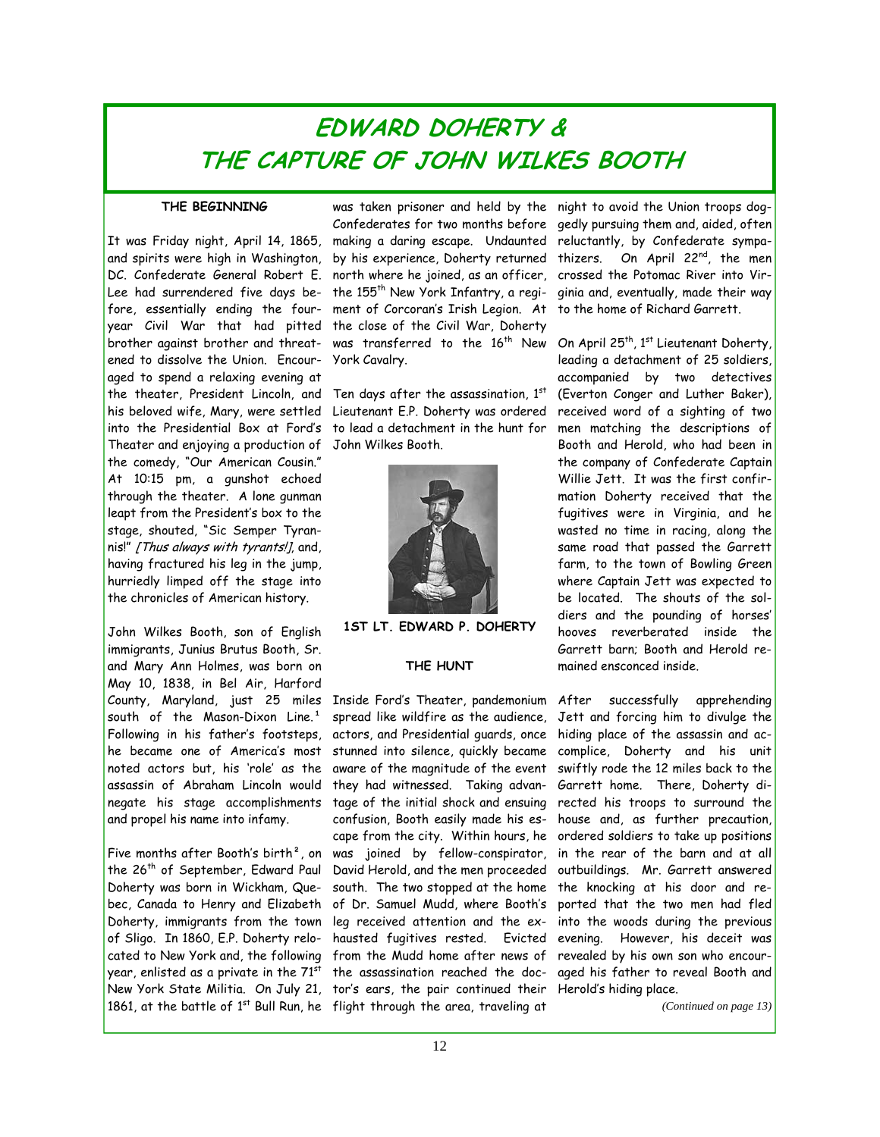# **EDWARD DOHERTY & THE CAPTURE OF JOHN WILKES BOOTH**

### **THE BEGINNING**

It was Friday night, April 14, 1865, and spirits were high in Washington, DC. Confederate General Robert E. Lee had surrendered five days before, essentially ending the fouryear Civil War that had pitted brother against brother and threatened to dissolve the Union. Encouraged to spend a relaxing evening at the theater, President Lincoln, and Ten days after the assassination, 1st his beloved wife, Mary, were settled Lieutenant E.P. Doherty was ordered into the Presidential Box at Ford's to lead a detachment in the hunt for Theater and enjoying a production of John Wilkes Booth. the comedy, "Our American Cousin." At 10:15 pm, a gunshot echoed through the theater. A lone gunman leapt from the President's box to the stage, shouted, "Sic Semper Tyrannis!" [Thus always with tyrants!], and, having fractured his leg in the jump, hurriedly limped off the stage into the chronicles of American history.

John Wilkes Booth, son of English immigrants, Junius Brutus Booth, Sr. and Mary Ann Holmes, was born on May 10, 1838, in Bel Air, Harford County, Maryland, just 25 miles south of the Mason-Dixon Line.<sup>1</sup> Following in his father's footsteps, he became one of America's most noted actors but, his 'role' as the assassin of Abraham Lincoln would negate his stage accomplishments and propel his name into infamy.

Five months after Booth's birth<sup>2</sup>, on the 26th of September, Edward Paul Doherty was born in Wickham, Que-1861, at the battle of  $1<sup>st</sup>$  Bull Run, he flight through the area, traveling at

was taken prisoner and held by the night to avoid the Union troops dog-Confederates for two months before gedly pursuing them and, aided, often making a daring escape. Undaunted reluctantly, by Confederate sympaby his experience, Doherty returned thizers. On April 22<sup>nd</sup>, the men north where he joined, as an officer, crossed the Potomac River into Virthe 155<sup>th</sup> New York Infantry, a regi- ginia and, eventually, made their way ment of Corcoran's Irish Legion. At to the home of Richard Garrett. the close of the Civil War, Doherty was transferred to the  $16^{\text{th}}$  New On April 25th,  $1^{\text{st}}$  Lieutenant Doherty, York Cavalry.



**1ST LT. EDWARD P. DOHERTY** 

### **THE HUNT**

bec, Canada to Henry and Elizabeth of Dr. Samuel Mudd, where Booth's ported that the two men had fled Doherty, immigrants from the town leg received attention and the ex-into the woods during the previous of Sligo. In 1860, E.P. Doherty relo-hausted fugitives rested. Evicted evening. However, his deceit was cated to New York and, the following from the Mudd home after news of revealed by his own son who encouryear, enlisted as a private in the 71<sup>st</sup> the assassination reached the doc- aged his father to reveal Booth and New York State Militia. On July 21, tor's ears, the pair continued their Herold's hiding place. Inside Ford's Theater, pandemonium After successfully apprehending spread like wildfire as the audience, Jett and forcing him to divulge the actors, and Presidential guards, once hiding place of the assassin and acstunned into silence, quickly became complice, Doherty and his unit aware of the magnitude of the event swiftly rode the 12 miles back to the they had witnessed. Taking advan-Garrett home. There, Doherty ditage of the initial shock and ensuing rected his troops to surround the confusion, Booth easily made his es-house and, as further precaution, cape from the city. Within hours, he ordered soldiers to take up positions was joined by fellow-conspirator, in the rear of the barn and at all David Herold, and the men proceeded outbuildings. Mr. Garrett answered south. The two stopped at the home the knocking at his door and re-

leading a detachment of 25 soldiers, accompanied by two detectives (Everton Conger and Luther Baker), received word of a sighting of two men matching the descriptions of Booth and Herold, who had been in the company of Confederate Captain Willie Jett. It was the first confirmation Doherty received that the fugitives were in Virginia, and he wasted no time in racing, along the same road that passed the Garrett farm, to the town of Bowling Green where Captain Jett was expected to be located. The shouts of the soldiers and the pounding of horses' hooves reverberated inside the Garrett barn; Booth and Herold remained ensconced inside.

*(Continued on page 13)*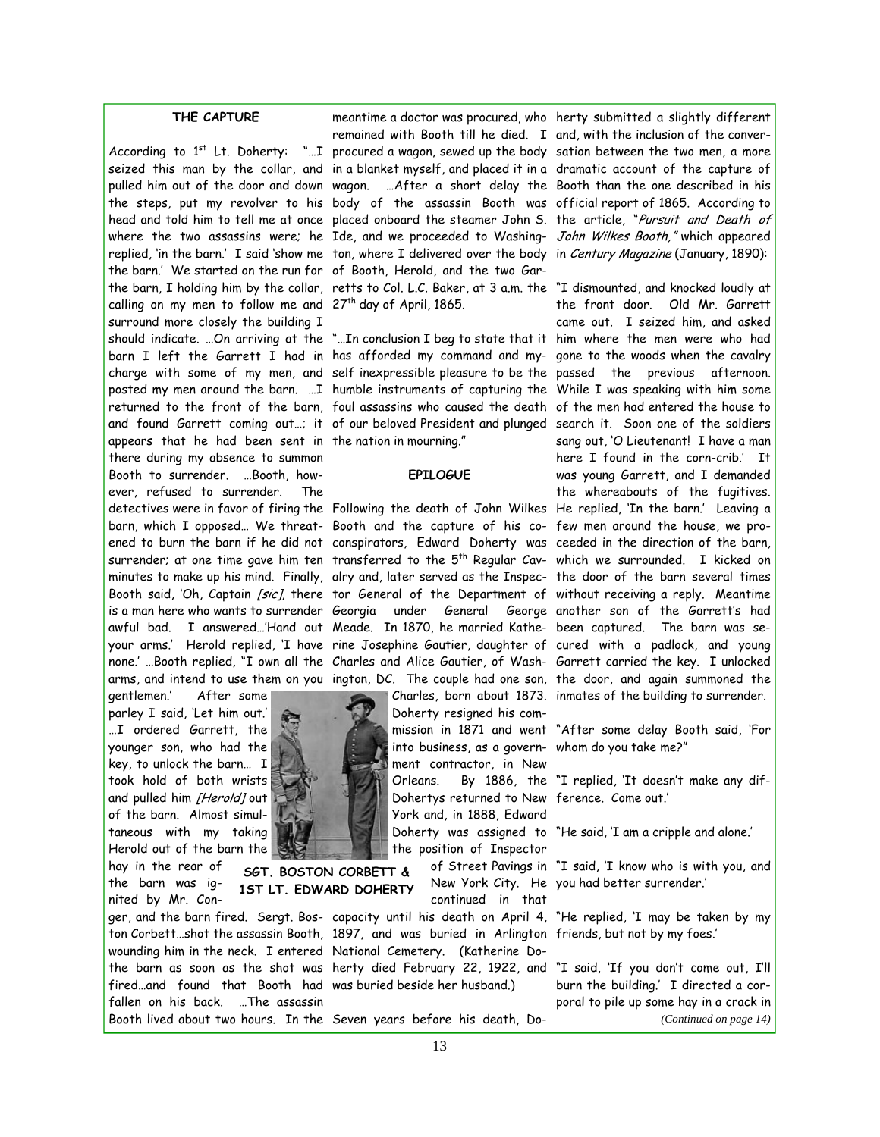### **THE CAPTURE**

calling on my men to follow me and  $27<sup>th</sup>$  day of April, 1865. surround more closely the building I appears that he had been sent in the nation in mourning." there during my absence to summon Booth to surrender. …Booth, however, refused to surrender. The arms, and intend to use them on you ington, DC. The couple had one son, the door, and again summoned the

gentlemen.' After some parley I said, 'Let him out.' …I ordered Garrett, the younger son, who had the key, to unlock the barn… I took hold of both wrists and pulled him [Herold] out of the barn. Almost simultaneous with my taking Herold out of the barn the

hay in the rear of the barn was ignited by Mr. Con-

wounding him in the neck. I entered National Cemetery. (Katherine Dofired…and found that Booth had was buried beside her husband.) fallen on his back. …The assassin

According to 1<sup>st</sup> Lt. Doherty: "...I procured a wagon, sewed up the body sation between the two men, a more seized this man by the collar, and in a blanket myself, and placed it in a dramatic account of the capture of pulled him out of the door and down wagon. …After a short delay the Booth than the one described in his the steps, put my revolver to his body of the assassin Booth was official report of 1865. According to head and told him to tell me at once placed onboard the steamer John S. the article, "*Pursuit and Death of* where the two assassins were; he Ide, and we proceeded to Washing- *John Wilkes Booth,"* which appeared replied, 'in the barn.' I said 'show me ton, where I delivered over the body in *Century Magazine* (January, 1890): the barn.' We started on the run for of Booth, Herold, and the two Garthe barn, I holding him by the collar, retts to Col. L.C. Baker, at 3 a.m. the "I dismounted, and knocked loudly at meantime a doctor was procured, who herty submitted a slightly different remained with Booth till he died. I and, with the inclusion of the conver-

should indicate. …On arriving at the "…In conclusion I beg to state that it him where the men were who had barn I left the Garrett I had in has afforded my command and my-gone to the woods when the cavalry charge with some of my men, and self inexpressible pleasure to be the passed the previous afternoon. posted my men around the barn. …I humble instruments of capturing the While I was speaking with him some returned to the front of the barn, foul assassins who caused the death of the men had entered the house to and found Garrett coming out…; it of our beloved President and plunged search it. Soon one of the soldiers

#### **EPILOGUE**

detectives were in favor of firing the Following the death of John Wilkes He replied, 'In the barn.' Leaving a barn, which I opposed… We threat-Booth and the capture of his co-few men around the house, we proened to burn the barn if he did not conspirators, Edward Doherty was ceeded in the direction of the barn, surrender; at one time gave him ten transferred to the 5<sup>th</sup> Regular Cav- which we surrounded. I kicked on minutes to make up his mind. Finally, alry and, later served as the Inspec-the door of the barn several times Booth said, 'Oh, Captain *[sic]*, there tor General of the Department of without receiving a reply. Meantime is a man here who wants to surrender Georgia under General George another son of the Garrett's had awful bad. I answered…'Hand out Meade. In 1870, he married Kathe-been captured. The barn was seyour arms.' Herold replied, 'I have rine Josephine Gautier, daughter of cured with a padlock, and young none.' …Booth replied, "I own all the Charles and Alice Gautier, of Wash-Garrett carried the key. I unlocked

> Doherty resigned his cominto business, as a govern-whom do you take me?" ment contractor, in New Dohertys returned to New ference. Come out.' York and, in 1888, Edward the position of Inspector

> > continued in that

ger, and the barn fired. Sergt. Bos-capacity until his death on April 4, "He replied, 'I may be taken by my ton Corbett…shot the assassin Booth, 1897, and was buried in Arlington friends, but not by my foes.' the barn as soon as the shot was herty died February 22, 1922, and "I said, 'If you don't come out, I'll

Booth lived about two hours. In the Seven years before his death, Do-

Charles, born about 1873. inmates of the building to surrender. the front door. Old Mr. Garrett came out. I seized him, and asked sang out, 'O Lieutenant! I have a man here I found in the corn-crib.' It was young Garrett, and I demanded the whereabouts of the fugitives.

mission in 1871 and went "After some delay Booth said, 'For

Orleans. By 1886, the "I replied, 'It doesn't make any dif-

Doherty was assigned to "He said, 'I am a cripple and alone.'

of Street Pavings in "I said, 'I know who is with you, and New York City. He you had better surrender.'

burn the building.' I directed a corporal to pile up some hay in a crack in *(Continued on page 14)* 



**SGT. BOSTON CORBETT & 1ST LT. EDWARD DOHERTY**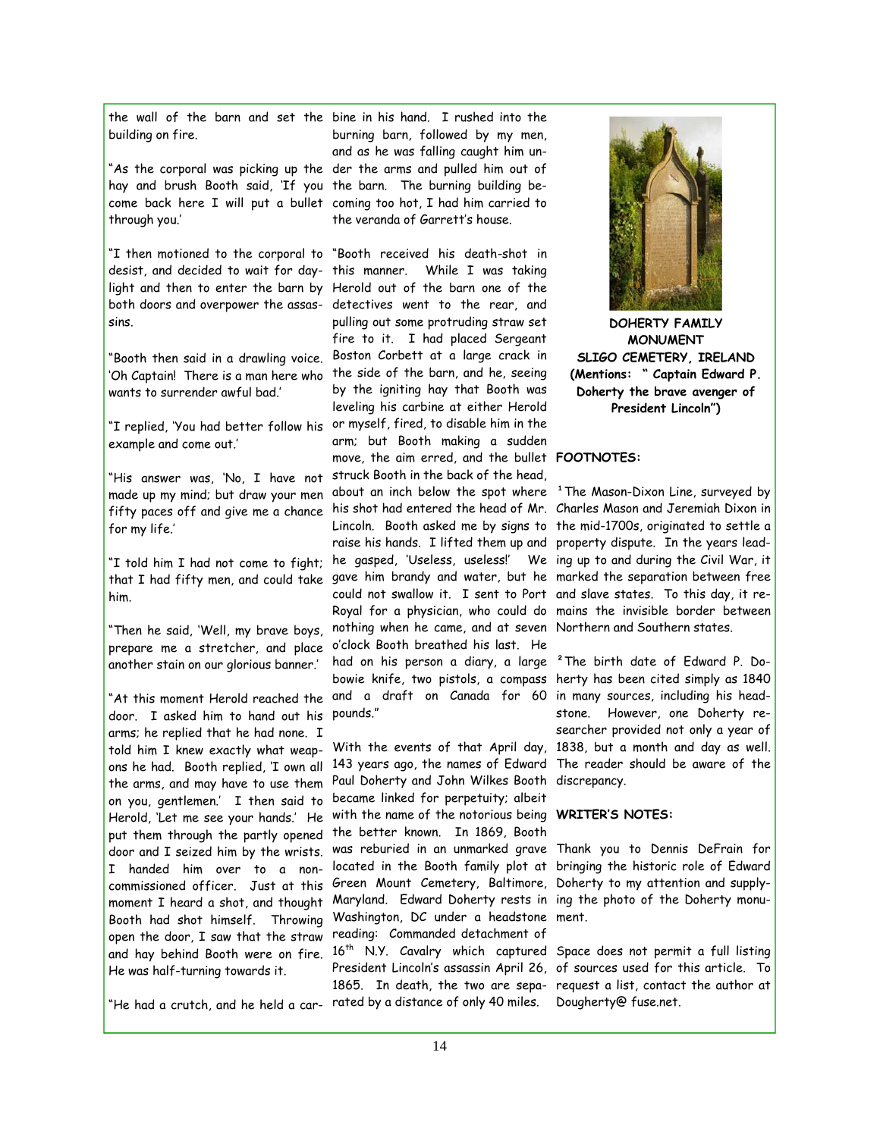the wall of the barn and set the bine in his hand. I rushed into the building on fire.

through you.'

sins.

wants to surrender awful bad.'

example and come out.'

made up my mind; but draw your men for my life.'

"I told him I had not come to fight; him.

"Then he said, 'Well, my brave boys, prepare me a stretcher, and place another stain on our glorious banner.'

"At this moment Herold reached the door. I asked him to hand out his arms; he replied that he had none. I told him I knew exactly what weapons he had. Booth replied, 'I own all the arms, and may have to use them on you, gentlemen.' I then said to Herold, 'Let me see your hands.' He put them through the partly opened door and I seized him by the wrists. I handed him over to a noncommissioned officer. Just at this moment I heard a shot, and thought Booth had shot himself. Throwing open the door, I saw that the straw He was half-turning towards it.

"He had a crutch, and he held a car-rated by a distance of only 40 miles. Dougherty@ fuse.net.

"As the corporal was picking up the der the arms and pulled him out of hay and brush Booth said, 'If you the barn. The burning building become back here I will put a bullet coming too hot, I had him carried to burning barn, followed by my men, and as he was falling caught him unthe veranda of Garrett's house.

"I then motioned to the corporal to "Booth received his death-shot in desist, and decided to wait for day-this manner. While I was taking light and then to enter the barn by Herold out of the barn one of the both doors and overpower the assas-detectives went to the rear, and "Booth then said in a drawling voice. Boston Corbett at a large crack in 'Oh Captain! There is a man here who 'the side of the barn, and he, seeing "I replied, 'You had better follow his or myself, fired, to disable him in the "His answer was, 'No, I have not struck Booth in the back of the head, fifty paces off and give me a chance his shot had entered the head of Mr. Charles Mason and Jeremiah Dixon in that I had fifty men, and could take gave him brandy and water, but he marked the separation between free pulling out some protruding straw set fire to it. I had placed Sergeant by the igniting hay that Booth was leveling his carbine at either Herold arm; but Booth making a sudden move, the aim erred, and the bullet **FOOTNOTES:**  about an inch below the spot where <sup>1</sup> The Mason-Dixon Line, surveyed by Lincoln. Booth asked me by signs to the mid-1700s, originated to settle a raise his hands. I lifted them up and property dispute. In the years leadhe gasped, 'Useless, useless!' We ing up to and during the Civil War, it could not swallow it. I sent to Port and slave states. To this day, it re-Royal for a physician, who could do mains the invisible border between nothing when he came, and at seven Northern and Southern states. o'clock Booth breathed his last. He had on his person a diary, a large ²The birth date of Edward P. Dobowie knife, two pistols, a compass herty has been cited simply as 1840 and a draft on Canada for 60 in many sources, including his headpounds."

and hay behind Booth were on fire.  $16^{\text{th}}$  N.Y. Cavalry which captured Space does not permit a full listing With the events of that April day, 1838, but a month and day as well. 143 years ago, the names of Edward The reader should be aware of the Paul Doherty and John Wilkes Booth discrepancy. became linked for perpetuity; albeit with the name of the notorious being **WRITER'S NOTES:**  the better known. In 1869, Booth was reburied in an unmarked grave Thank you to Dennis DeFrain for located in the Booth family plot at bringing the historic role of Edward Green Mount Cemetery, Baltimore, Doherty to my attention and supply-Maryland. Edward Doherty rests in ing the photo of the Doherty monu-Washington, DC under a headstone ment. reading: Commanded detachment of President Lincoln's assassin April 26, of sources used for this article. To 1865. In death, the two are sepa-request a list, contact the author at

**DOHERTY FAMILY MONUMENT SLIGO CEMETERY, IRELAND (Mentions: " Captain Edward P. Doherty the brave avenger of President Lincoln")** 

stone. However, one Doherty researcher provided not only a year of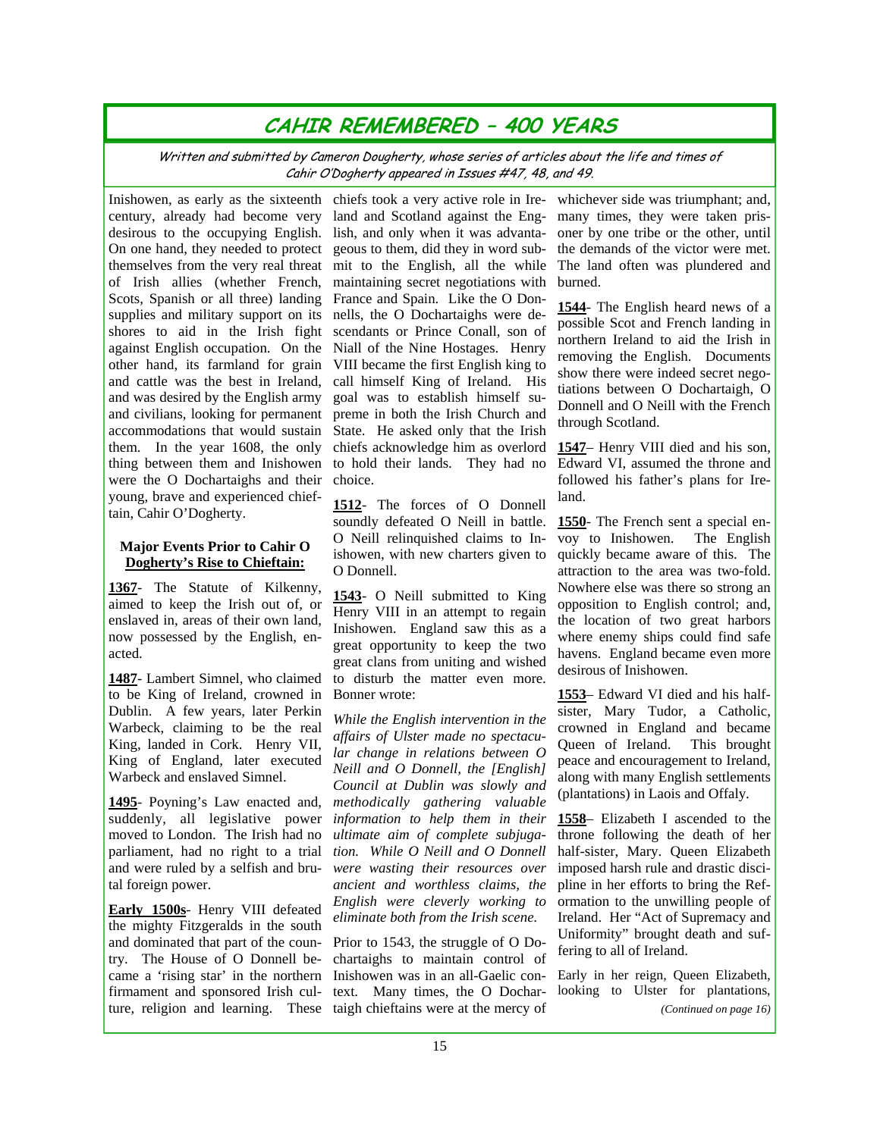# **CAHIR REMEMBERED – 400 YEARS**

Written and submitted by Cameron Dougherty, whose series of articles about the life and times of Cahir O'Dogherty appeared in Issues #47, 48, and 49.

century, already had become very land and Scotland against the Engdesirous to the occupying English. lish, and only when it was advanta-On one hand, they needed to protect themselves from the very real threat of Irish allies (whether French, Scots, Spanish or all three) landing supplies and military support on its shores to aid in the Irish fight against English occupation. On the other hand, its farmland for grain and cattle was the best in Ireland, and was desired by the English army and civilians, looking for permanent accommodations that would sustain them. In the year 1608, the only thing between them and Inishowen were the O Dochartaighs and their young, brave and experienced chieftain, Cahir O'Dogherty.

#### **Major Events Prior to Cahir O Dogherty's Rise to Chieftain:**

**1367**- The Statute of Kilkenny, aimed to keep the Irish out of, or enslaved in, areas of their own land, now possessed by the English, enacted.

**1487**- Lambert Simnel, who claimed to be King of Ireland, crowned in Dublin. A few years, later Perkin Warbeck, claiming to be the real King, landed in Cork. Henry VII, King of England, later executed Warbeck and enslaved Simnel.

**1495**- Poyning's Law enacted and, suddenly, all legislative power moved to London. The Irish had no parliament, had no right to a trial and were ruled by a selfish and brutal foreign power.

**Early 1500s**- Henry VIII defeated the mighty Fitzgeralds in the south and dominated that part of the country. The House of O Donnell became a 'rising star' in the northern firmament and sponsored Irish culture, religion and learning. These

Inishowen, as early as the sixteenth chiefs took a very active role in Ire-whichever side was triumphant; and, geous to them, did they in word submit to the English, all the while maintaining secret negotiations with France and Spain. Like the O Donnells, the O Dochartaighs were descendants or Prince Conall, son of Niall of the Nine Hostages. Henry VIII became the first English king to call himself King of Ireland. His goal was to establish himself supreme in both the Irish Church and State. He asked only that the Irish chiefs acknowledge him as overlord to hold their lands. They had no choice.

> **1512**- The forces of O Donnell soundly defeated O Neill in battle. O Neill relinquished claims to Inishowen, with new charters given to O Donnell.

> **1543**- O Neill submitted to King Henry VIII in an attempt to regain Inishowen. England saw this as a great opportunity to keep the two great clans from uniting and wished to disturb the matter even more. Bonner wrote:

> *While the English intervention in the affairs of Ulster made no spectacular change in relations between O Neill and O Donnell, the [English] Council at Dublin was slowly and methodically gathering valuable information to help them in their ultimate aim of complete subjugation. While O Neill and O Donnell were wasting their resources over ancient and worthless claims, the English were cleverly working to eliminate both from the Irish scene.*

> Prior to 1543, the struggle of O Dochartaighs to maintain control of Inishowen was in an all-Gaelic context. Many times, the O Dochartaigh chieftains were at the mercy of

many times, they were taken prisoner by one tribe or the other, until the demands of the victor were met. The land often was plundered and burned.

**1544**- The English heard news of a possible Scot and French landing in northern Ireland to aid the Irish in removing the English. Documents show there were indeed secret negotiations between O Dochartaigh, O Donnell and O Neill with the French through Scotland.

**1547**– Henry VIII died and his son, Edward VI, assumed the throne and followed his father's plans for Ireland.

**1550**- The French sent a special envoy to Inishowen. The English quickly became aware of this. The attraction to the area was two-fold. Nowhere else was there so strong an opposition to English control; and, the location of two great harbors where enemy ships could find safe havens. England became even more desirous of Inishowen.

**1553**– Edward VI died and his halfsister, Mary Tudor, a Catholic, crowned in England and became Queen of Ireland. peace and encouragement to Ireland, along with many English settlements (plantations) in Laois and Offaly.

**1558**– Elizabeth I ascended to the throne following the death of her half-sister, Mary. Queen Elizabeth imposed harsh rule and drastic discipline in her efforts to bring the Reformation to the unwilling people of Ireland. Her "Act of Supremacy and Uniformity" brought death and suffering to all of Ireland.

Early in her reign, Queen Elizabeth, looking to Ulster for plantations, *(Continued on page 16)*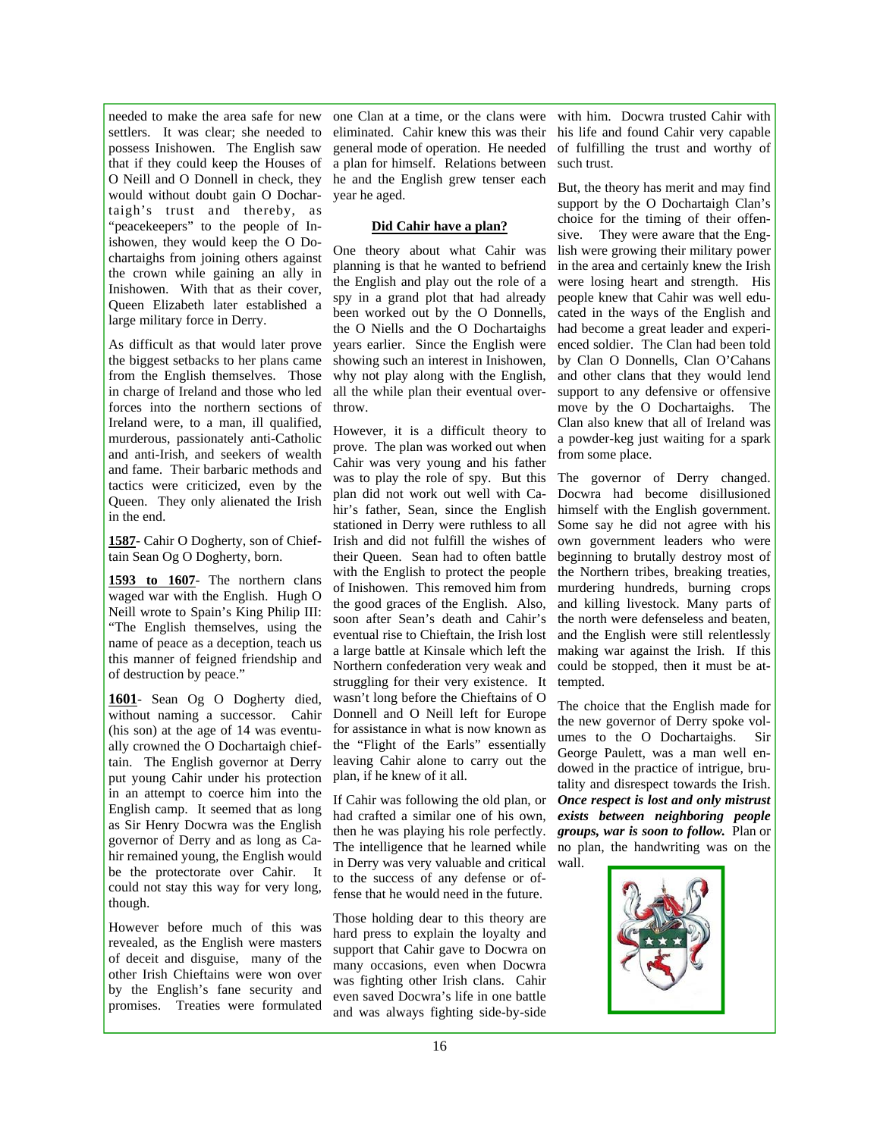needed to make the area safe for new settlers. It was clear; she needed to possess Inishowen. The English saw that if they could keep the Houses of O Neill and O Donnell in check, they would without doubt gain O Dochartaigh's trust and thereby, as "peacekeepers" to the people of Inishowen, they would keep the O Dochartaighs from joining others against the crown while gaining an ally in Inishowen. With that as their cover, Queen Elizabeth later established a large military force in Derry.

As difficult as that would later prove the biggest setbacks to her plans came from the English themselves. Those in charge of Ireland and those who led forces into the northern sections of Ireland were, to a man, ill qualified, murderous, passionately anti-Catholic and anti-Irish, and seekers of wealth and fame. Their barbaric methods and tactics were criticized, even by the Queen. They only alienated the Irish in the end.

**1587**- Cahir O Dogherty, son of Chieftain Sean Og O Dogherty, born.

**1593 to 1607**- The northern clans waged war with the English. Hugh O Neill wrote to Spain's King Philip III: "The English themselves, using the name of peace as a deception, teach us this manner of feigned friendship and of destruction by peace."

**1601**- Sean Og O Dogherty died, without naming a successor. Cahir (his son) at the age of 14 was eventually crowned the O Dochartaigh chieftain. The English governor at Derry put young Cahir under his protection in an attempt to coerce him into the English camp. It seemed that as long as Sir Henry Docwra was the English governor of Derry and as long as Cahir remained young, the English would be the protectorate over Cahir. It could not stay this way for very long, though.

However before much of this was revealed, as the English were masters of deceit and disguise, many of the other Irish Chieftains were won over by the English's fane security and promises. Treaties were formulated

one Clan at a time, or the clans were eliminated. Cahir knew this was their general mode of operation. He needed a plan for himself. Relations between he and the English grew tenser each year he aged.

### **Did Cahir have a plan?**

One theory about what Cahir was planning is that he wanted to befriend the English and play out the role of a spy in a grand plot that had already been worked out by the O Donnells, the O Niells and the O Dochartaighs years earlier. Since the English were showing such an interest in Inishowen, why not play along with the English, all the while plan their eventual overthrow.

However, it is a difficult theory to prove. The plan was worked out when Cahir was very young and his father was to play the role of spy. But this plan did not work out well with Cahir's father, Sean, since the English stationed in Derry were ruthless to all Irish and did not fulfill the wishes of their Queen. Sean had to often battle with the English to protect the people of Inishowen. This removed him from the good graces of the English. Also, soon after Sean's death and Cahir's eventual rise to Chieftain, the Irish lost a large battle at Kinsale which left the Northern confederation very weak and struggling for their very existence. It wasn't long before the Chieftains of O Donnell and O Neill left for Europe for assistance in what is now known as the "Flight of the Earls" essentially leaving Cahir alone to carry out the plan, if he knew of it all.

If Cahir was following the old plan, or had crafted a similar one of his own, then he was playing his role perfectly. The intelligence that he learned while in Derry was very valuable and critical to the success of any defense or offense that he would need in the future.

Those holding dear to this theory are hard press to explain the loyalty and support that Cahir gave to Docwra on many occasions, even when Docwra was fighting other Irish clans. Cahir even saved Docwra's life in one battle and was always fighting side-by-side

with him. Docwra trusted Cahir with his life and found Cahir very capable of fulfilling the trust and worthy of such trust.

But, the theory has merit and may find support by the O Dochartaigh Clan's choice for the timing of their offensive. They were aware that the English were growing their military power in the area and certainly knew the Irish were losing heart and strength. His people knew that Cahir was well educated in the ways of the English and had become a great leader and experienced soldier. The Clan had been told by Clan O Donnells, Clan O'Cahans and other clans that they would lend support to any defensive or offensive move by the O Dochartaighs. The Clan also knew that all of Ireland was a powder-keg just waiting for a spark from some place.

The governor of Derry changed. Docwra had become disillusioned himself with the English government. Some say he did not agree with his own government leaders who were beginning to brutally destroy most of the Northern tribes, breaking treaties, murdering hundreds, burning crops and killing livestock. Many parts of the north were defenseless and beaten, and the English were still relentlessly making war against the Irish. If this could be stopped, then it must be attempted.

The choice that the English made for the new governor of Derry spoke volumes to the O Dochartaighs. Sir George Paulett, was a man well endowed in the practice of intrigue, brutality and disrespect towards the Irish. *Once respect is lost and only mistrust exists between neighboring people groups, war is soon to follow.* Plan or no plan, the handwriting was on the

wall.

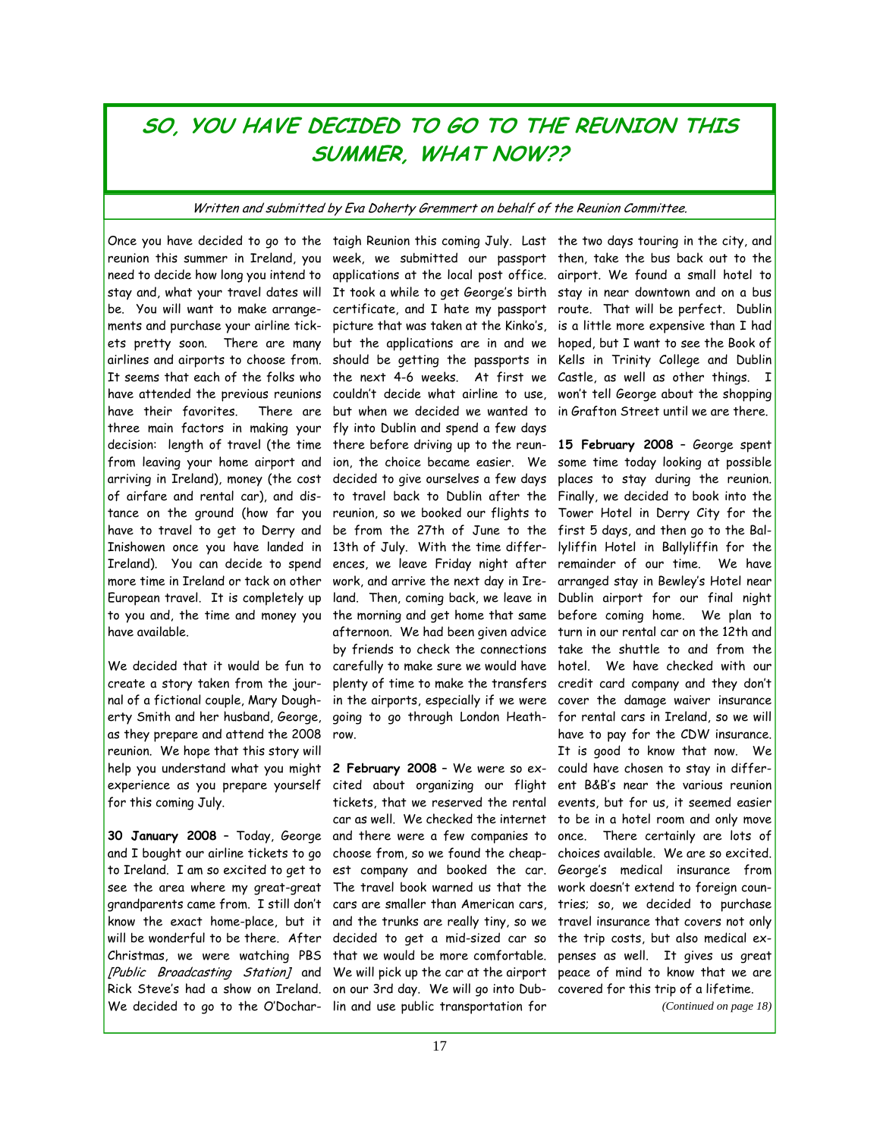# **SO, YOU HAVE DECIDED TO GO TO THE REUNION THIS SUMMER, WHAT NOW??**

#### Written and submitted by Eva Doherty Gremmert on behalf of the Reunion Committee.

have available.

create a story taken from the journal of a fictional couple, Mary Doughas they prepare and attend the 2008 reunion. We hope that this story will for this coming July.

We decided to go to the O'Dochar-lin and use public transportation for

reunion this summer in Ireland, you week, we submitted our passport then, take the bus back out to the need to decide how long you intend to applications at the local post office. airport. We found a small hotel to stay and, what your travel dates will It took a while to get George's birth stay in near downtown and on a bus be. You will want to make arrange-certificate, and I hate my passport route. That will be perfect. Dublin ments and purchase your airline tick- picture that was taken at the Kinko's, is a little more expensive than I had ets pretty soon. There are many but the applications are in and we hoped, but I want to see the Book of ( airlines and airports to choose from. should be getting the passports in Kells in Trinity College and Dublin It seems that each of the folks who the next 4-6 weeks. At first we Castle, as well as other things. I have attended the previous reunions couldn't decide what airline to use, won't tell George about the shopping have their favorites. There are but when we decided we wanted to in Grafton Street until we are there. three main factors in making your fly into Dublin and spend a few days decision: length of travel (the time there before driving up to the reun-**15 February 2008** – George spent from leaving your home airport and ion, the choice became easier. We some time today looking at possible arriving in Ireland), money (the cost decided to give ourselves a few days places to stay during the reunion. of airfare and rental car), and dis- to travel back to Dublin after the Finally, we decided to book into the tance on the ground (how far you reunion, so we booked our flights to Tower Hotel in Derry City for the have to travel to get to Derry and be from the 27th of June to the first 5 days, and then go to the Bal-Inishowen once you have landed in 13th of July. With the time differ-lyliffin Hotel in Ballyliffin for the Ireland). You can decide to spend ences, we leave Friday night after remainder of our time. We havel more time in Ireland or tack on other work, and arrive the next day in Ire-arranged stay in Bewley's Hotel near European travel. It is completely up land. Then, coming back, we leave in Dublin airport for our final night to you and, the time and money you the morning and get home that same before coming home. We plan to We decided that it would be fun to carefully to make sure we would have hotel. We have checked with our erty Smith and her husband, George, going to go through London Heath- for rental cars in Ireland, so we will afternoon. We had been given advice turn in our rental car on the 12th and by friends to check the connections take the shuttle to and from the plenty of time to make the transfers credit card company and they don't in the airports, especially if we were cover the damage waiver insurance row.

help you understand what you might **2 February 2008** – We were so ex-could have chosen to stay in differexperience as you prepare yourself cited about organizing our flight ent B&B's near the various reunion and I bought our airline tickets to go choose from, so we found the cheap-choices available. We are so excited. see the area where my great-great The travel book warned us that the work doesn't extend to foreign coungrandparents came from. I still don't cars are smaller than American cars, tries; so, we decided to purchase know the exact home-place, but it and the trunks are really tiny, so we travel insurance that covers not only will be wonderful to be there. After decided to get a mid-sized car so the trip costs, but also medical ex-*[Public Broadcasting Station]* and We will pick up the car at the airport peace of mind to know that we are **show** Rick Steve's had a show on Ireland. on our 3rd day. We will go into Dub-covered for this trip of a lifetime. tickets, that we reserved the rental events, but for us, it seemed easier car as well. We checked the internet to be in a hotel room and only move

Once you have decided to go to the taigh Reunion this coming July. Last the two days touring in the city, and

**30 January 2008** – Today, George and there were a few companies to once. There certainly are lots of to Ireland. I am so excited to get to est company and booked the car. George's medical insurance from Christmas, we were watching PBS that we would be more comfortable. penses as well. It gives us great have to pay for the CDW insurance. It is good to know that now. We

*(Continued on page 18)*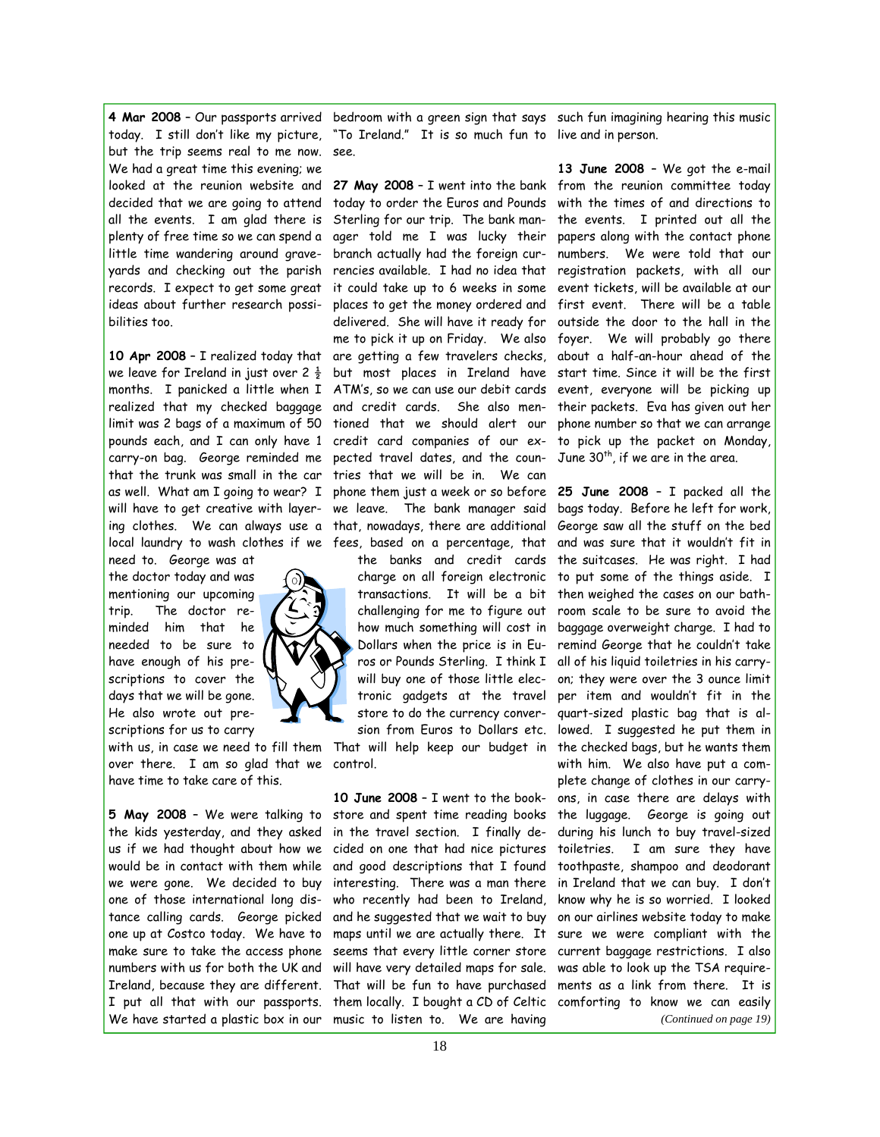but the trip seems real to me now. see. We had a great time this evening; we bilities too.

need to. George was at the doctor today and was mentioning our upcoming trip. The doctor reminded him that he needed to be sure to have enough of his prescriptions to cover the days that we will be gone. He also wrote out prescriptions for us to carry

over there. I am so glad that we control. have time to take care of this.

**4 Mar 2008** – Our passports arrived bedroom with a green sign that says such fun imagining hearing this music today. I still don't like my picture, "To Ireland." It is so much fun to live and in person.

looked at the reunion website and **27 May 2008** – I went into the bank from the reunion committee today decided that we are going to attend today to order the Euros and Pounds with the times of and directions to all the events. I am glad there is Sterling for our trip. The bank man-the events. I printed out all the plenty of free time so we can spend a ager told me I was lucky their papers along with the contact phone little time wandering around grave-branch actually had the foreign cur-numbers. We were told that our yards and checking out the parish rencies available. I had no idea that registration packets, with all our records. I expect to get some great it could take up to 6 weeks in some event tickets, will be available at our ideas about further research possi-places to get the money ordered and first event. There will be a table **10 Apr 2008** – I realized today that are getting a few travelers checks, about a half-an-hour ahead of the we leave for Ireland in just over 2  $\frac{1}{2}$  but most places in Ireland have start time. Since it will be the first months. I panicked a little when I ATM's, so we can use our debit cards event, everyone will be picking up realized that my checked baggage and credit cards. She also men-their packets. Eva has given out her limit was 2 bags of a maximum of 50 tioned that we should alert our phone number so that we can arrange pounds each, and I can only have 1 credit card companies of our ex-to pick up the packet on Monday, carry-on bag. George reminded me <code>pected</code> travel dates, and the coun- <code>June 30</code><sup>th</sup>, if we are in the area. that the trunk was small in the car tries that we will be in. We can as well. What am I going to wear? I phone them just a week or so before **25 June 2008** – I packed all the will have to get creative with layer- we leave. The bank manager said bags today. Before he left for work, ing clothes. We can always use a that, nowadays, there are additional George saw all the stuff on the bed local laundry to wash clothes if we fees, based on a percentage, that and was sure that it wouldn't fit in delivered. She will have it ready for outside the door to the hall in the me to pick it up on Friday. We also foyer. We will probably go there

with us, in case we need to fill them That will help keep our budget in the checked bags, but he wants them

**5 May 2008** – We were talking to store and spent time reading books the luggage. George is going out the kids yesterday, and they asked in the travel section. I finally de-during his lunch to buy travel-sized us if we had thought about how we cided on one that had nice pictures toiletries. I am sure they have would be in contact with them while and good descriptions that I found toothpaste, shampoo and deodorant we were gone. We decided to buy interesting. There was a man there in Ireland that we can buy. I don't one of those international long dis-who recently had been to Ireland, know why he is so worried. I looked tance calling cards. George picked and he suggested that we wait to buy on our airlines website today to make one up at Costco today. We have to maps until we are actually there. It sure we were compliant with the make sure to take the access phone seems that every little corner store current baggage restrictions. I also numbers with us for both the UK and will have very detailed maps for sale. was able to look up the TSA require-Ireland, because they are different. That will be fun to have purchased ments as a link from there. It is I put all that with our passports. them locally. I bought a CD of Celtic comforting to know we can easily We have started a plastic box in our music to listen to. We are having

**13 June 2008** – We got the e-mail

the banks and credit cards the suitcases. He was right. I had charge on all foreign electronic to put some of the things aside. I transactions. It will be a bit then weighed the cases on our bathchallenging for me to figure out room scale to be sure to avoid the how much something will cost in baggage overweight charge. I had to Dollars when the price is in Eu-remind George that he couldn't take ros or Pounds Sterling. I think I all of his liquid toiletries in his carrywill buy one of those little elec-on; they were over the 3 ounce limit tronic gadgets at the travel per item and wouldn't fit in the store to do the currency conver-quart-sized plastic bag that is alsion from Euros to Dollars etc. lowed. I suggested he put them in **10 June 2008** – I went to the book-ons, in case there are delays with with him. We also have put a complete change of clothes in our carry-*(Continued on page 19)* 

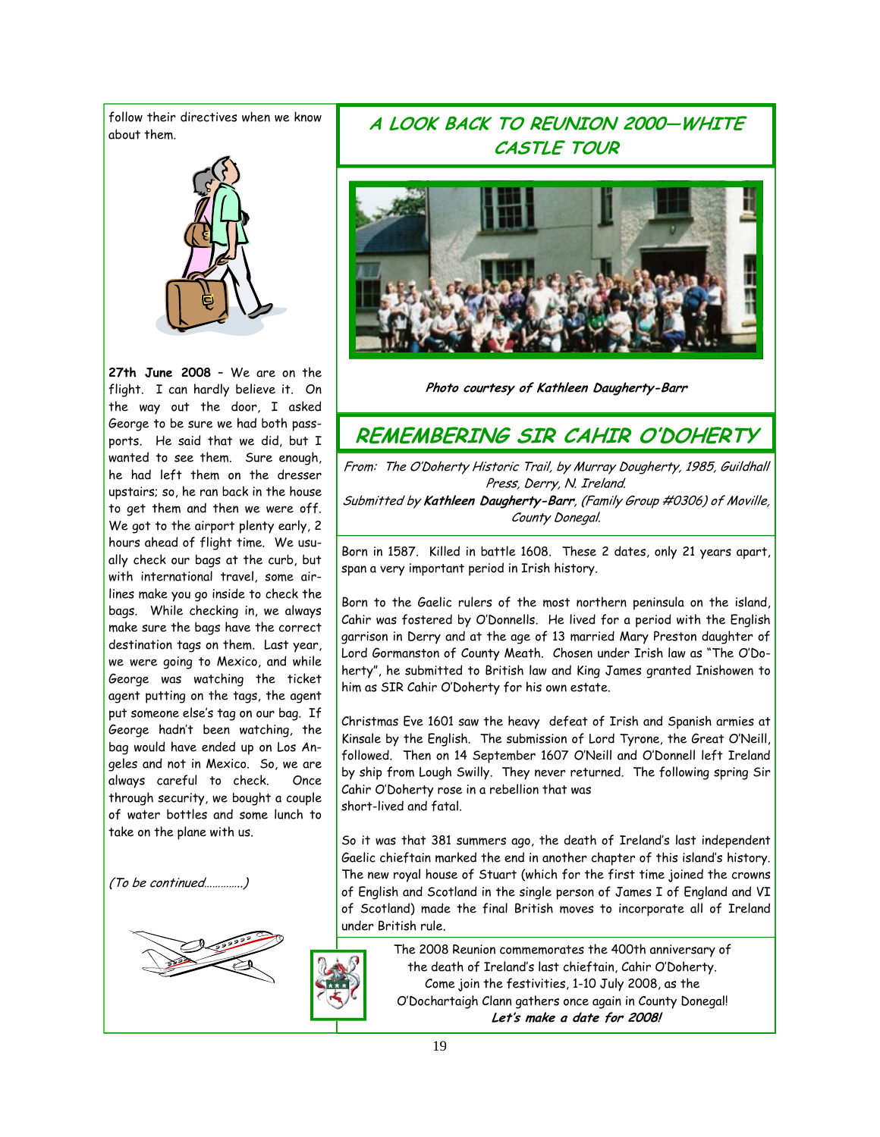follow their directives when we know about them.



**27th June 2008** – We are on the flight. I can hardly believe it. On the way out the door, I asked George to be sure we had both passports. He said that we did, but I wanted to see them. Sure enough, he had left them on the dresser upstairs; so, he ran back in the house to get them and then we were off. We got to the airport plenty early, 2 hours ahead of flight time. We usually check our bags at the curb, but with international travel, some airlines make you go inside to check the bags. While checking in, we always make sure the bags have the correct destination tags on them. Last year, we were going to Mexico, and while George was watching the ticket agent putting on the tags, the agent put someone else's tag on our bag. If George hadn't been watching, the bag would have ended up on Los Angeles and not in Mexico. So, we are always careful to check. Once through security, we bought a couple of water bottles and some lunch to take on the plane with us.

(To be continued…………..)



**A LOOK BACK TO REUNION 2000—WHITE CASTLE TOUR** 



**Photo courtesy of Kathleen Daugherty-Barr** 

# **REMEMBERING SIR CAHIR O'DOHERTY**

From: The O'Doherty Historic Trail, by Murray Dougherty, 1985, Guildhall Press, Derry, N. Ireland.

Submitted by **Kathleen Daugherty-Barr**, (Family Group #0306) of Moville, County Donegal.

Born in 1587. Killed in battle 1608. These 2 dates, only 21 years apart, span a very important period in Irish history.

Born to the Gaelic rulers of the most northern peninsula on the island, Cahir was fostered by O'Donnells. He lived for a period with the English garrison in Derry and at the age of 13 married Mary Preston daughter of Lord Gormanston of County Meath. Chosen under Irish law as "The O'Doherty", he submitted to British law and King James granted Inishowen to him as SIR Cahir O'Doherty for his own estate.

Christmas Eve 1601 saw the heavy defeat of Irish and Spanish armies at Kinsale by the English. The submission of Lord Tyrone, the Great O'Neill, followed. Then on 14 September 1607 O'Neill and O'Donnell left Ireland by ship from Lough Swilly. They never returned. The following spring Sir Cahir O'Doherty rose in a rebellion that was short-lived and fatal.

So it was that 381 summers ago, the death of Ireland's last independent Gaelic chieftain marked the end in another chapter of this island's history. The new royal house of Stuart (which for the first time joined the crowns of English and Scotland in the single person of James I of England and VI of Scotland) made the final British moves to incorporate all of Ireland under British rule.

> The 2008 Reunion commemorates the 400th anniversary of the death of Ireland's last chieftain, Cahir O'Doherty. Come join the festivities, 1-10 July 2008, as the O'Dochartaigh Clann gathers once again in County Donegal!  **Let's make a date for 2008!**